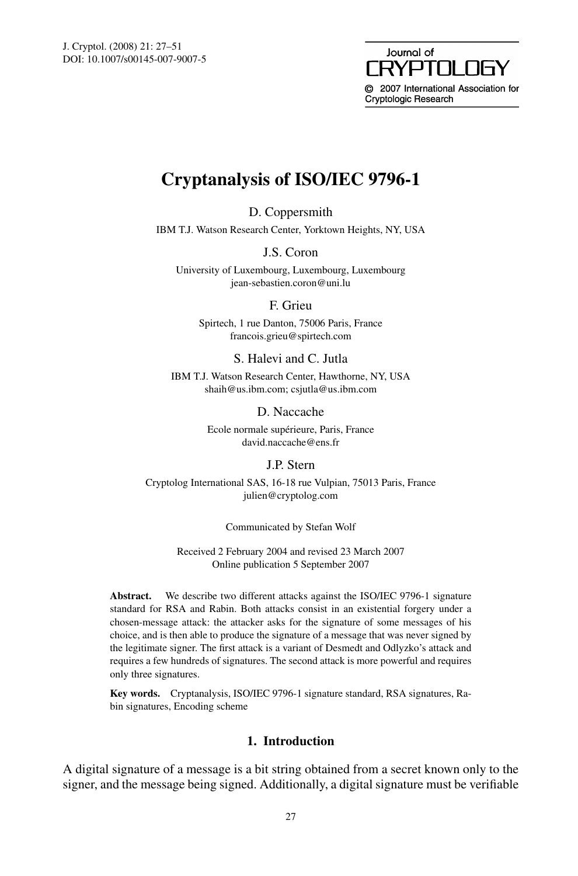#### Journal of **NAY** RYPTNI © 2007 International Association for Cryptologic Research

# **Cryptanalysis of ISO/IEC 9796-1**

D. Coppersmith

IBM T.J. Watson Research Center, Yorktown Heights, NY, USA

J.S. Coron

University of Luxembourg, Luxembourg, Luxembourg jean-sebastien.coron@uni.lu

F. Grieu

Spirtech, 1 rue Danton, 75006 Paris, France francois.grieu@spirtech.com

# S. Halevi and C. Jutla

IBM T.J. Watson Research Center, Hawthorne, NY, USA shaih@us.ibm.com; csjutla@us.ibm.com

D. Naccache

Ecole normale supérieure, Paris, France david.naccache@ens.fr

# J.P. Stern

Cryptolog International SAS, 16-18 rue Vulpian, 75013 Paris, France julien@cryptolog.com

Communicated by Stefan Wolf

Received 2 February 2004 and revised 23 March 2007 Online publication 5 September 2007

**Abstract.** We describe two different attacks against the ISO/IEC 9796-1 signature standard for RSA and Rabin. Both attacks consist in an existential forgery under a chosen-message attack: the attacker asks for the signature of some messages of his choice, and is then able to produce the signature of a message that was never signed by the legitimate signer. The first attack is a variant of Desmedt and Odlyzko's attack and requires a few hundreds of signatures. The second attack is more powerful and requires only three signatures.

**Key words.** Cryptanalysis, ISO/IEC 9796-1 signature standard, RSA signatures, Rabin signatures, Encoding scheme

# **1. Introduction**

A digital signature of a message is a bit string obtained from a secret known only to the signer, and the message being signed. Additionally, a digital signature must be verifiable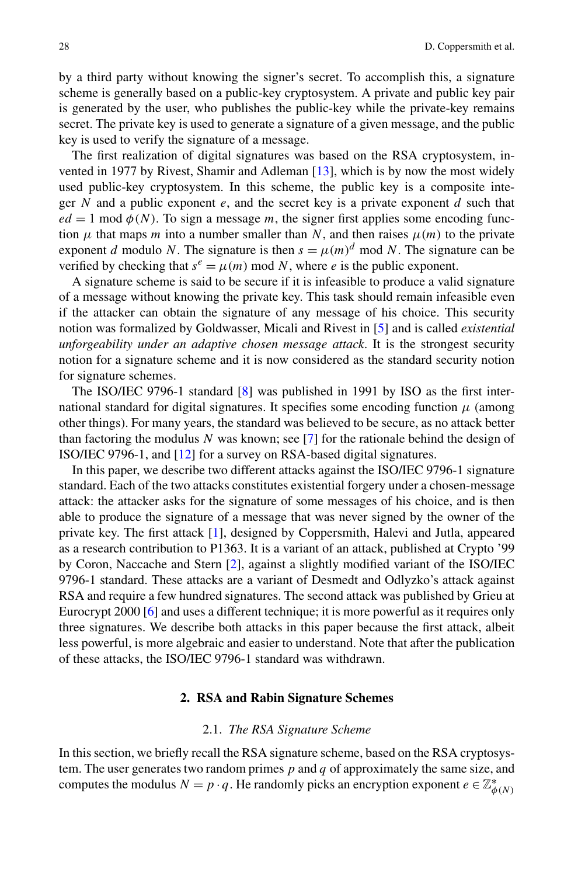by a third party without knowing the signer's secret. To accomplish this, a signature scheme is generally based on a public-key cryptosystem. A private and public key pair is generated by the user, who publishes the public-key while the private-key remains secret. The private key is used to generate a signature of a given message, and the public key is used to verify the signature of a message.

The first realization of digital signatures was based on the RSA cryptosystem, invented in 1977 by Rivest, Shamir and Adleman [[13\]](#page-24-0), which is by now the most widely used public-key cryptosystem. In this scheme, the public key is a composite integer *N* and a public exponent *e*, and the secret key is a private exponent *d* such that  $ed = 1$  mod  $\phi(N)$ . To sign a message *m*, the signer first applies some encoding function  $\mu$  that maps *m* into a number smaller than *N*, and then raises  $\mu(m)$  to the private exponent *d* modulo *N*. The signature is then  $s = \mu(m)^d$  mod *N*. The signature can be verified by checking that  $s^e = \mu(m) \mod N$ , where *e* is the public exponent.

A signature scheme is said to be secure if it is infeasible to produce a valid signature of a message without knowing the private key. This task should remain infeasible even if the attacker can obtain the signature of any message of his choice. This security notion was formalized by Goldwasser, Micali and Rivest in [\[5](#page-24-0)] and is called *existential unforgeability under an adaptive chosen message attack*. It is the strongest security notion for a signature scheme and it is now considered as the standard security notion for signature schemes.

The ISO/IEC 9796-1 standard [\[8](#page-24-0)] was published in 1991 by ISO as the first international standard for digital signatures. It specifies some encoding function  $\mu$  (among other things). For many years, the standard was believed to be secure, as no attack better than factoring the modulus *N* was known; see [[7\]](#page-24-0) for the rationale behind the design of ISO/IEC 9796-1, and [[12\]](#page-24-0) for a survey on RSA-based digital signatures.

In this paper, we describe two different attacks against the ISO/IEC 9796-1 signature standard. Each of the two attacks constitutes existential forgery under a chosen-message attack: the attacker asks for the signature of some messages of his choice, and is then able to produce the signature of a message that was never signed by the owner of the private key. The first attack [[1\]](#page-24-0), designed by Coppersmith, Halevi and Jutla, appeared as a research contribution to P1363. It is a variant of an attack, published at Crypto '99 by Coron, Naccache and Stern [\[2](#page-24-0)], against a slightly modified variant of the ISO/IEC 9796-1 standard. These attacks are a variant of Desmedt and Odlyzko's attack against RSA and require a few hundred signatures. The second attack was published by Grieu at Eurocrypt 2000 [\[6](#page-24-0)] and uses a different technique; it is more powerful as it requires only three signatures. We describe both attacks in this paper because the first attack, albeit less powerful, is more algebraic and easier to understand. Note that after the publication of these attacks, the ISO/IEC 9796-1 standard was withdrawn.

#### **2. RSA and Rabin Signature Schemes**

#### 2.1. *The RSA Signature Scheme*

In this section, we briefly recall the RSA signature scheme, based on the RSA cryptosystem. The user generates two random primes *p* and *q* of approximately the same size, and computes the modulus  $N = p \cdot q$ . He randomly picks an encryption exponent  $e \in \mathbb{Z}_{\phi(N)}^*$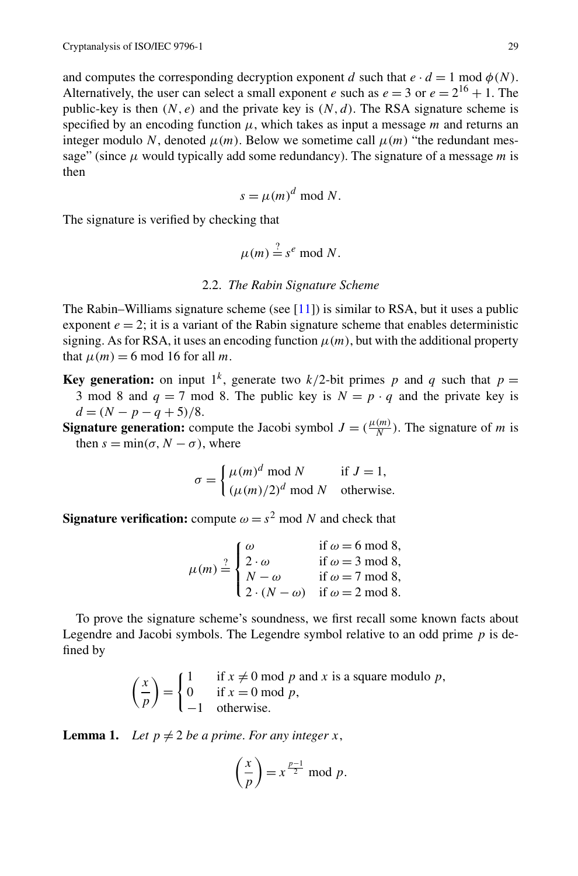and computes the corresponding decryption exponent *d* such that  $e \cdot d = 1 \text{ mod } \phi(N)$ . Alternatively, the user can select a small exponent *e* such as  $e = 3$  or  $e = 2^{16} + 1$ . The public-key is then  $(N, e)$  and the private key is  $(N, d)$ . The RSA signature scheme is specified by an encoding function *μ*, which takes as input a message *m* and returns an integer modulo N, denoted  $\mu(m)$ . Below we sometime call  $\mu(m)$  "the redundant message" (since *μ* would typically add some redundancy). The signature of a message *m* is then

$$
s = \mu(m)^d \bmod N.
$$

The signature is verified by checking that

$$
\mu(m) \stackrel{?}{=} s^e \bmod N.
$$

# 2.2. *The Rabin Signature Scheme*

The Rabin–Williams signature scheme (see  $[11]$  $[11]$ ) is similar to RSA, but it uses a public exponent  $e = 2$ ; it is a variant of the Rabin signature scheme that enables deterministic signing. As for RSA, it uses an encoding function  $\mu(m)$ , but with the additional property that  $\mu(m) = 6 \text{ mod } 16$  for all *m*.

**Key generation:** on input  $1^k$ , generate two  $k/2$ -bit primes p and q such that  $p =$ 3 mod 8 and  $q = 7$  mod 8. The public key is  $N = p \cdot q$  and the private key is  $d = (N - p - q + 5)/8.$ 

**Signature generation:** compute the Jacobi symbol  $J = (\frac{\mu(m)}{N})$ . The signature of *m* is then  $s = \min(\sigma, N - \sigma)$ , where

$$
\sigma = \begin{cases} \mu(m)^d \text{ mod } N & \text{if } J = 1, \\ (\mu(m)/2)^d \text{ mod } N & \text{otherwise.} \end{cases}
$$

**Signature verification:** compute  $\omega = s^2$  mod *N* and check that

$$
\mu(m) \stackrel{?}{=} \begin{cases} \omega & \text{if } \omega = 6 \text{ mod } 8, \\ 2 \cdot \omega & \text{if } \omega = 3 \text{ mod } 8, \\ N - \omega & \text{if } \omega = 7 \text{ mod } 8, \\ 2 \cdot (N - \omega) & \text{if } \omega = 2 \text{ mod } 8. \end{cases}
$$

To prove the signature scheme's soundness, we first recall some known facts about Legendre and Jacobi symbols. The Legendre symbol relative to an odd prime *p* is defined by

> *x p*  $=$  $\int_0^1$  if  $x \neq 0$  mod *p* and *x* is a square modulo *p*, 0 if  $x = 0$  mod  $p$ , −1 otherwise.

**Lemma 1.** *Let*  $p \neq 2$  *be a prime. For any integer x,* 

$$
\left(\frac{x}{p}\right) = x^{\frac{p-1}{2}} \bmod p.
$$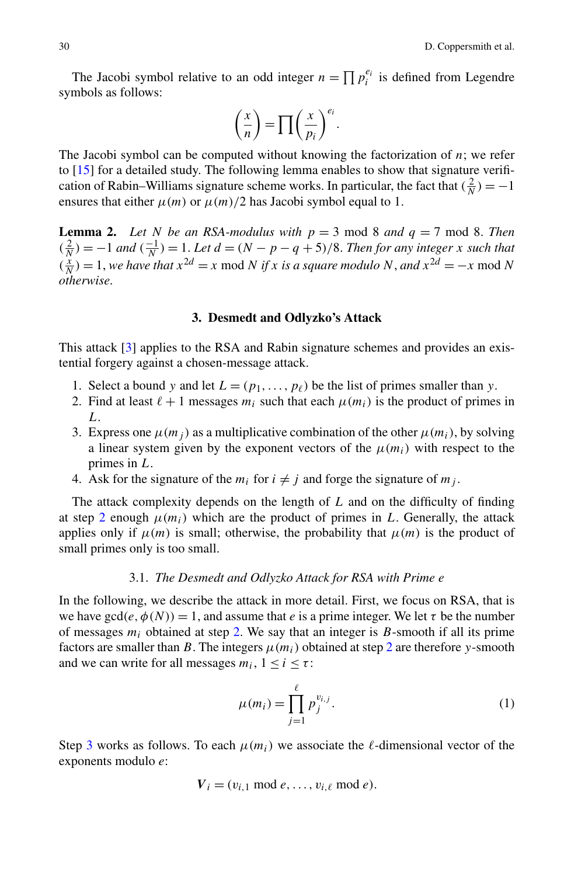<span id="page-3-0"></span>The Jacobi symbol relative to an odd integer  $n = \prod p_i^{e_i}$  is defined from Legendre symbols as follows:

$$
\left(\frac{x}{n}\right) = \prod \left(\frac{x}{p_i}\right)^{e_i}.
$$

The Jacobi symbol can be computed without knowing the factorization of *n*; we refer to [\[15](#page-24-0)] for a detailed study. The following lemma enables to show that signature verification of Rabin–Williams signature scheme works. In particular, the fact that  $(\frac{2}{N}) = -1$ ensures that either  $\mu(m)$  or  $\mu(m)/2$  has Jacobi symbol equal to 1.

**Lemma 2.** *Let N be an RSA-modulus with*  $p = 3 \text{ mod } 8$  *and*  $q = 7 \text{ mod } 8$ *. Then*  $\left(\frac{2}{N}\right) = -1$  *and*  $\left(\frac{-1}{N}\right) = 1$ . Let  $d = (N - p - q + 5)/8$ . Then for any integer *x* such that  $\left(\frac{x}{N}\right) = 1$ , *we have that*  $x^{2d} = x \mod N$  *if x is a square modulo N*, *and*  $x^{2d} = -x \mod N$ *otherwise*.

#### **3. Desmedt and Odlyzko's Attack**

This attack [\[3](#page-24-0)] applies to the RSA and Rabin signature schemes and provides an existential forgery against a chosen-message attack.

- 1. Select a bound *y* and let  $L = (p_1, \ldots, p_\ell)$  be the list of primes smaller than *y*.
- 2. Find at least  $\ell + 1$  messages  $m_i$  such that each  $\mu(m_i)$  is the product of primes in *L*.
- 3. Express one  $\mu(m_i)$  as a multiplicative combination of the other  $\mu(m_i)$ , by solving a linear system given by the exponent vectors of the  $\mu(m_i)$  with respect to the primes in *L*.
- 4. Ask for the signature of the  $m_i$  for  $i \neq j$  and forge the signature of  $m_j$ .

The attack complexity depends on the length of *L* and on the difficulty of finding at step 2 enough  $\mu(m_i)$  which are the product of primes in L. Generally, the attack applies only if  $\mu(m)$  is small; otherwise, the probability that  $\mu(m)$  is the product of small primes only is too small.

# 3.1. *The Desmedt and Odlyzko Attack for RSA with Prime e*

In the following, we describe the attack in more detail. First, we focus on RSA, that is we have  $gcd(e, \phi(N)) = 1$ , and assume that *e* is a prime integer. We let  $\tau$  be the number of messages  $m_i$  obtained at step 2. We say that an integer is  $B$ -smooth if all its prime factors are smaller than *B*. The integers  $\mu(m_i)$  obtained at step 2 are therefore *y*-smooth and we can write for all messages  $m_i$ ,  $1 \le i \le \tau$ :

$$
\mu(m_i) = \prod_{j=1}^{\ell} p_j^{v_{i,j}}.
$$
\n(1)

Step 3 works as follows. To each  $\mu(m_i)$  we associate the  $\ell$ -dimensional vector of the exponents modulo *e*:

$$
V_i = (v_{i,1} \bmod e, \ldots, v_{i,\ell} \bmod e).
$$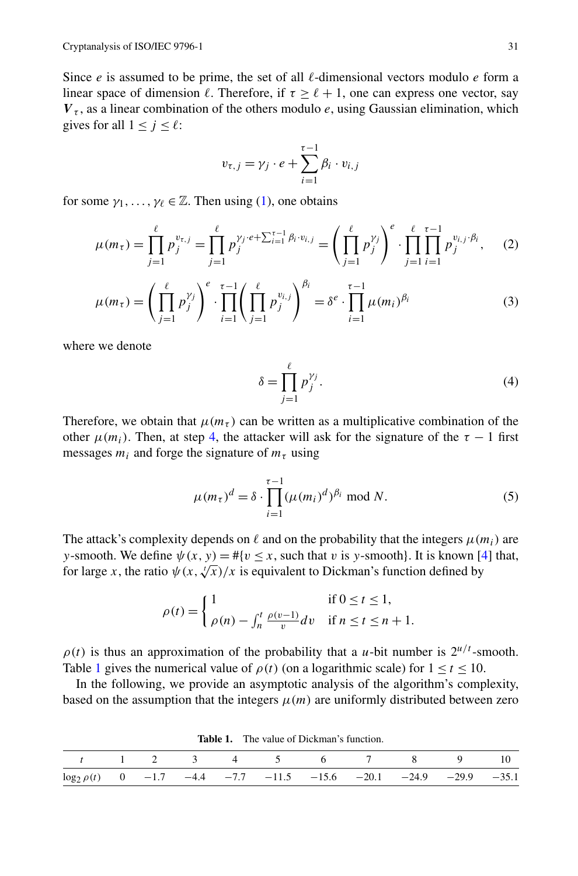<span id="page-4-0"></span>Since  $e$  is assumed to be prime, the set of all  $\ell$ -dimensional vectors modulo  $e$  form a linear space of dimension  $\ell$ . Therefore, if  $\tau > \ell + 1$ , one can express one vector, say  $V_t$ , as a linear combination of the others modulo  $e$ , using Gaussian elimination, which gives for all  $1 \leq j \leq \ell$ :

$$
v_{\tau,j} = \gamma_j \cdot e + \sum_{i=1}^{\tau-1} \beta_i \cdot v_{i,j}
$$

for some  $\gamma_1, \ldots, \gamma_\ell \in \mathbb{Z}$ . Then using [\(1](#page-3-0)), one obtains

$$
\mu(m_{\tau}) = \prod_{j=1}^{\ell} p_j^{v_{\tau,j}} = \prod_{j=1}^{\ell} p_j^{v_j \cdot e + \sum_{i=1}^{\tau-1} \beta_i \cdot v_{i,j}} = \left( \prod_{j=1}^{\ell} p_j^{v_j} \right)^e \cdot \prod_{j=1}^{\ell} \prod_{i=1}^{\tau-1} p_j^{v_{i,j} \cdot \beta_i}, \quad (2)
$$

$$
\mu(m_{\tau}) = \left(\prod_{j=1}^{\ell} p_j^{\gamma_j}\right)^e \cdot \prod_{i=1}^{\tau-1} \left(\prod_{j=1}^{\ell} p_j^{v_{i,j}}\right)^{\beta_i} = \delta^e \cdot \prod_{i=1}^{\tau-1} \mu(m_i)^{\beta_i} \tag{3}
$$

where we denote

$$
\delta = \prod_{j=1}^{\ell} p_j^{\gamma_j}.
$$
\n(4)

Therefore, we obtain that  $\mu(m_{\tau})$  can be written as a multiplicative combination of the other  $\mu(m_i)$ . Then, at step [4,](#page-3-0) the attacker will ask for the signature of the  $\tau - 1$  first messages  $m_i$  and forge the signature of  $m_\tau$  using

$$
\mu(m_{\tau})^d = \delta \cdot \prod_{i=1}^{\tau-1} (\mu(m_i)^d)^{\beta_i} \text{ mod } N. \tag{5}
$$

The attack's complexity depends on  $\ell$  and on the probability that the integers  $\mu(m_i)$  are *y*-smooth. We define  $\psi(x, y) = \#\{v \leq x, \text{ such that } v \text{ is } y\text{-smooth}\}.$  It is known [\[4](#page-24-0)] that, for large *x*, the ratio  $\psi(x, \sqrt[t]{x})/x$  is equivalent to Dickman's function defined by

$$
\rho(t) = \begin{cases} 1 & \text{if } 0 \le t \le 1, \\ \rho(n) - \int_n^t \frac{\rho(v-1)}{v} dv & \text{if } n \le t \le n+1. \end{cases}
$$

 $\rho(t)$  is thus an approximation of the probability that a *u*-bit number is  $2^{u/t}$ -smooth. Table 1 gives the numerical value of  $\rho(t)$  (on a logarithmic scale) for  $1 \le t \le 10$ .

In the following, we provide an asymptotic analysis of the algorithm's complexity, based on the assumption that the integers  $\mu(m)$  are uniformly distributed between zero

**Table 1.** The value of Dickman's function.

| t 1 2 3 4 5 6 7 8 9 10                                                |  |  |  |  |  |
|-----------------------------------------------------------------------|--|--|--|--|--|
| $\log_2 \rho(t)$ 0 -1.7 -4.4 -7.7 -11.5 -15.6 -20.1 -24.9 -29.9 -35.1 |  |  |  |  |  |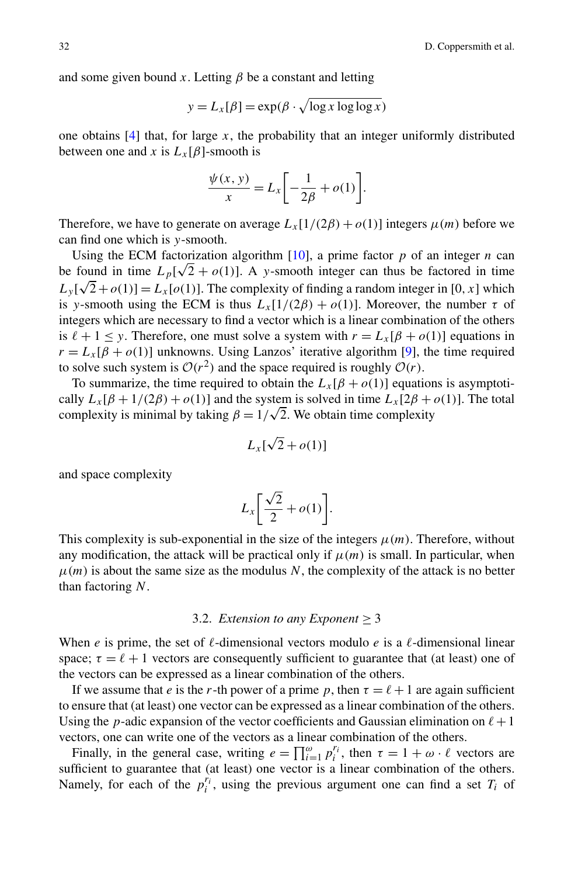and some given bound  $x$ . Letting  $\beta$  be a constant and letting

$$
y = L_x[\beta] = \exp(\beta \cdot \sqrt{\log x \log \log x})
$$

one obtains  $[4]$  $[4]$  that, for large *x*, the probability that an integer uniformly distributed between one and *x* is  $L_x[\beta]$ -smooth is

$$
\frac{\psi(x, y)}{x} = L_x \left[ -\frac{1}{2\beta} + o(1) \right].
$$

Therefore, we have to generate on average  $L_x[1/(2\beta) + o(1)]$  integers  $\mu(m)$  before we can find one which is *y*-smooth.

Using the ECM factorization algorithm  $[10]$  $[10]$ , a prime factor  $p$  of an integer  $n$  can be found in time  $L_p[\sqrt{2} + o(1)]$ . A *y*-smooth integer can thus be factored in time  $L_y[\sqrt{2} + o(1)] = L_x[o(1)]$ . The complexity of finding a random integer in [0*, x*] which is *y*-smooth using the ECM is thus  $L_x[1/(2\beta) + o(1)]$ . Moreover, the number  $\tau$  of integers which are necessary to find a vector which is a linear combination of the others is  $\ell + 1 \leq y$ . Therefore, one must solve a system with  $r = L_x[\beta + o(1)]$  equations in  $r = L_x[\beta + o(1)]$  unknowns. Using Lanzos' iterative algorithm [\[9](#page-24-0)], the time required to solve such system is  $O(r^2)$  and the space required is roughly  $O(r)$ .

To summarize, the time required to obtain the  $L_x[\beta + o(1)]$  equations is asymptotically  $L_x[\beta + 1/(2\beta) + o(1)]$  and the system is solved in time  $L_x[2\beta + o(1)]$ . The total cally  $L_x$ [ $p + 1/(2p) + o(1)$ ] and the system is solved in time  $L_x$ [ $2p + o(1)$ ] and the system is solved in time complexity

$$
L_x[\sqrt{2} + o(1)]
$$

and space complexity

$$
L_x \bigg[ \frac{\sqrt{2}}{2} + o(1) \bigg].
$$

This complexity is sub-exponential in the size of the integers  $\mu(m)$ . Therefore, without any modification, the attack will be practical only if  $\mu(m)$  is small. In particular, when  $\mu(m)$  is about the same size as the modulus *N*, the complexity of the attack is no better than factoring *N*.

#### 3.2. *Extension to any Exponent*  $\geq$  3

When *e* is prime, the set of  $\ell$ -dimensional vectors modulo *e* is a  $\ell$ -dimensional linear space;  $\tau = \ell + 1$  vectors are consequently sufficient to guarantee that (at least) one of the vectors can be expressed as a linear combination of the others.

If we assume that *e* is the *r*-th power of a prime *p*, then  $\tau = \ell + 1$  are again sufficient to ensure that (at least) one vector can be expressed as a linear combination of the others. Using the *p*-adic expansion of the vector coefficients and Gaussian elimination on  $\ell + 1$ vectors, one can write one of the vectors as a linear combination of the others.

Finally, in the general case, writing  $e = \prod_{i=1}^{\omega} p_i^{r_i}$ , then  $\tau = 1 + \omega \cdot \ell$  vectors are sufficient to guarantee that (at least) one vector is a linear combination of the others. Namely, for each of the  $p_i^{r_i}$ , using the previous argument one can find a set  $T_i$  of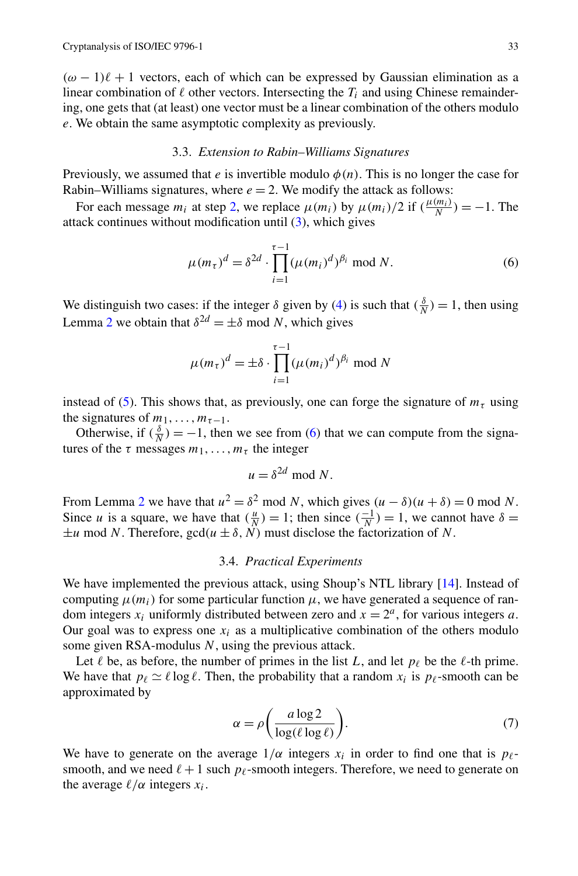<span id="page-6-0"></span> $(\omega - 1)\ell + 1$  vectors, each of which can be expressed by Gaussian elimination as a linear combination of  $\ell$  other vectors. Intersecting the  $T_i$  and using Chinese remaindering, one gets that (at least) one vector must be a linear combination of the others modulo *e*. We obtain the same asymptotic complexity as previously.

# 3.3. *Extension to Rabin–Williams Signatures*

Previously, we assumed that *e* is invertible modulo  $\phi(n)$ . This is no longer the case for Rabin–Williams signatures, where  $e = 2$ . We modify the attack as follows:

For each message  $m_i$  at step [2,](#page-3-0) we replace  $\mu(m_i)$  by  $\mu(m_i)/2$  if  $(\frac{\mu(m_i)}{N}) = -1$ . The attack continues without modification until ([3\)](#page-4-0), which gives

$$
\mu(m_{\tau})^d = \delta^{2d} \cdot \prod_{i=1}^{\tau-1} (\mu(m_i)^d)^{\beta_i} \text{ mod } N. \tag{6}
$$

We distinguish two cases: if the integer  $\delta$  given by ([4\)](#page-4-0) is such that  $(\frac{\delta}{N}) = 1$ , then using Lemma [2](#page-3-0) we obtain that  $\delta^{2d} = \pm \delta \text{ mod } N$ , which gives

$$
\mu(m_{\tau})^d = \pm \delta \cdot \prod_{i=1}^{\tau-1} (\mu(m_i)^d)^{\beta_i} \text{ mod } N
$$

instead of ([5\)](#page-4-0). This shows that, as previously, one can forge the signature of  $m<sub>\tau</sub>$  using the signatures of  $m_1, \ldots, m_{\tau-1}$ .

Otherwise, if  $(\frac{\delta}{N}) = -1$ , then we see from (6) that we can compute from the signatures of the  $\tau$  messages  $m_1, \ldots, m_{\tau}$  the integer

$$
u = \delta^{2d} \bmod N.
$$

From Lemma [2](#page-3-0) we have that  $u^2 = \delta^2$  mod *N*, which gives  $(u - \delta)(u + \delta) = 0$  mod *N*. Since *u* is a square, we have that  $(\frac{u}{N}) = 1$ ; then since  $(\frac{-1}{N}) = 1$ , we cannot have  $\delta =$  $\pm u$  mod *N*. Therefore, gcd $(u \pm \delta, N)$  must disclose the factorization of *N*.

# 3.4. *Practical Experiments*

We have implemented the previous attack, using Shoup's NTL library [[14\]](#page-24-0). Instead of computing  $\mu(m_i)$  for some particular function  $\mu$ , we have generated a sequence of random integers  $x_i$  uniformly distributed between zero and  $x = 2^a$ , for various integers *a*. Our goal was to express one  $x_i$  as a multiplicative combination of the others modulo some given RSA-modulus *N*, using the previous attack.

Let  $\ell$  be, as before, the number of primes in the list *L*, and let  $p_{\ell}$  be the  $\ell$ -th prime. We have that  $p_\ell \simeq \ell \log \ell$ . Then, the probability that a random  $x_i$  is  $p_\ell$ -smooth can be approximated by

$$
\alpha = \rho \bigg( \frac{a \log 2}{\log(\ell \log \ell)} \bigg). \tag{7}
$$

We have to generate on the average  $1/\alpha$  integers  $x_i$  in order to find one that is  $p_\ell$ smooth, and we need  $\ell + 1$  such  $p_{\ell}$ -smooth integers. Therefore, we need to generate on the average  $\ell/\alpha$  integers  $x_i$ .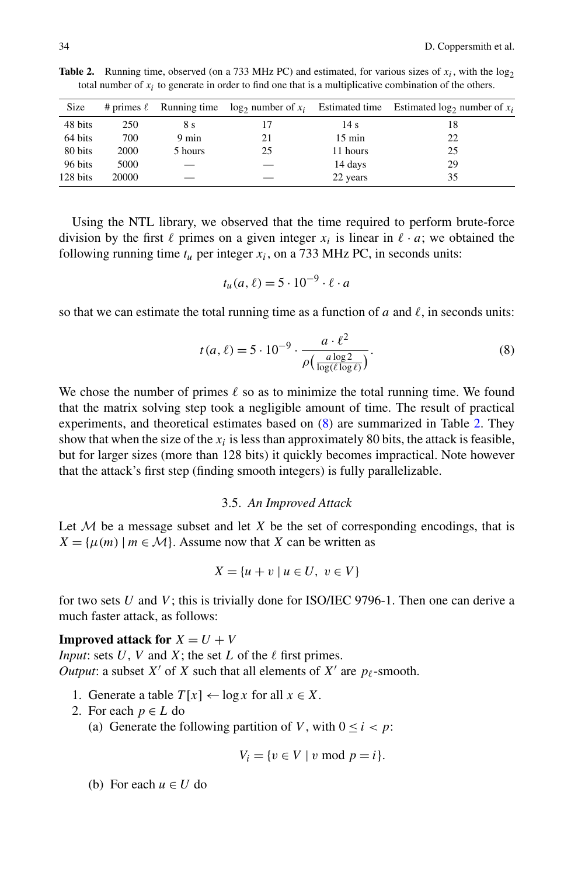| Size     |       |                 |    |                  | # primes $\ell$ Running time $\log_2$ number of $x_i$ Estimated time Estimated $\log_2$ number of $x_i$ |
|----------|-------|-----------------|----|------------------|---------------------------------------------------------------------------------------------------------|
| 48 bits  | 250   | 8 <sub>s</sub>  |    | 14 s             | 18                                                                                                      |
| 64 bits  | 700   | $9 \text{ min}$ | 21 | $15 \text{ min}$ | 22                                                                                                      |
| 80 bits  | 2000  | 5 hours         | 25 | 11 hours         | 25                                                                                                      |
| 96 bits  | 5000  |                 |    | 14 days          | 29                                                                                                      |
| 128 bits | 20000 |                 |    | 22 years         | 35                                                                                                      |

<span id="page-7-0"></span>**Table 2.** Running time, observed (on a 733 MHz PC) and estimated, for various sizes of  $x_i$ , with the log<sub>2</sub> total number of *xi* to generate in order to find one that is a multiplicative combination of the others.

Using the NTL library, we observed that the time required to perform brute-force division by the first  $\ell$  primes on a given integer  $x_i$  is linear in  $\ell \cdot a$ ; we obtained the following running time  $t_u$  per integer  $x_i$ , on a 733 MHz PC, in seconds units:

$$
t_u(a,\ell) = 5 \cdot 10^{-9} \cdot \ell \cdot a
$$

so that we can estimate the total running time as a function of  $a$  and  $\ell$ , in seconds units:

$$
t(a,\ell) = 5 \cdot 10^{-9} \cdot \frac{a \cdot \ell^2}{\rho \left( \frac{a \log 2}{\log(\ell \log \ell)} \right)}.
$$
 (8)

We chose the number of primes  $\ell$  so as to minimize the total running time. We found that the matrix solving step took a negligible amount of time. The result of practical experiments, and theoretical estimates based on (8) are summarized in Table 2. They show that when the size of the  $x_i$  is less than approximately 80 bits, the attack is feasible, but for larger sizes (more than 128 bits) it quickly becomes impractical. Note however that the attack's first step (finding smooth integers) is fully parallelizable.

#### 3.5. *An Improved Attack*

Let  $M$  be a message subset and let  $X$  be the set of corresponding encodings, that is  $X = \{ \mu(m) \mid m \in \mathcal{M} \}.$  Assume now that *X* can be written as

$$
X = \{u + v \mid u \in U, v \in V\}
$$

for two sets *U* and *V* ; this is trivially done for ISO/IEC 9796-1. Then one can derive a much faster attack, as follows:

**Improved attack for**  $X = U + V$ *Input*: sets  $U$ ,  $V$  and  $X$ ; the set  $L$  of the  $\ell$  first primes. *Output*: a subset *X*<sup> $\prime$ </sup> of *X* such that all elements of *X*<sup> $\prime$ </sup> are *p*<sub> $\ell$ </sub>-smooth.

- 1. Generate a table  $T[x] \leftarrow \log x$  for all  $x \in X$ .
- 2. For each  $p \in L$  do
	- (a) Generate the following partition of *V*, with  $0 \le i < p$ :

$$
V_i = \{v \in V \mid v \bmod p = i\}.
$$

(b) For each  $u \in U$  do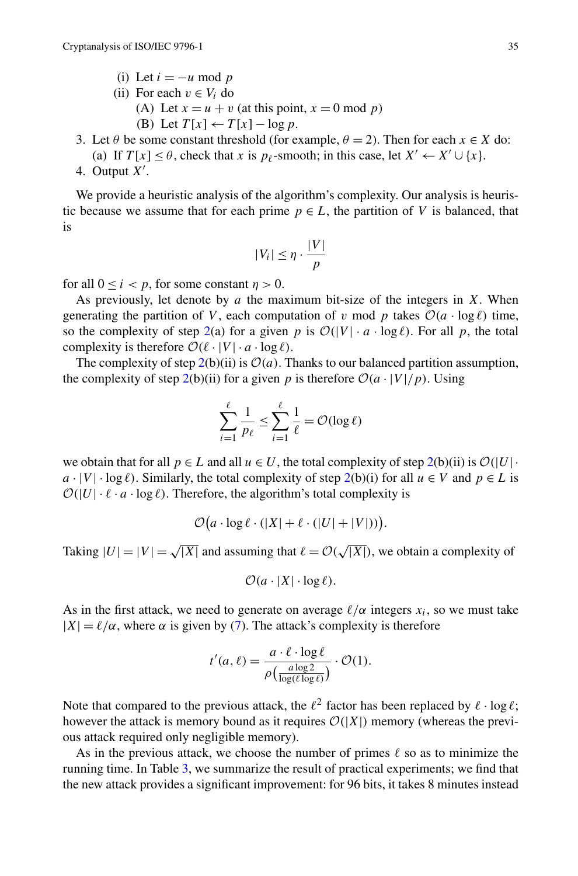- (i) Let  $i = -u \mod p$
- (ii) For each  $v \in V_i$  do
	- (A) Let  $x = u + v$  (at this point,  $x = 0$  mod *p*)
	- (B) Let  $T[x] \leftarrow T[x] \log p$ .
- 3. Let  $\theta$  be some constant threshold (for example,  $\theta = 2$ ). Then for each  $x \in X$  do:
	- (a) If  $T[x] < \theta$ , check that *x* is  $p_\ell$ -smooth; in this case, let  $X' \leftarrow X' \cup \{x\}$ .
- 4. Output  $X'$ .

We provide a heuristic analysis of the algorithm's complexity. Our analysis is heuristic because we assume that for each prime  $p \in L$ , the partition of *V* is balanced, that is

$$
|V_i| \le \eta \cdot \frac{|V|}{p}
$$

for all  $0 \le i \le p$ , for some constant  $\eta > 0$ .

As previously, let denote by *a* the maximum bit-size of the integers in *X*. When generating the partition of *V*, each computation of *v* mod *p* takes  $\mathcal{O}(a \cdot \log l)$  time, so the complexity of step [2](#page-7-0)(a) for a given *p* is  $O(|V| \cdot a \cdot \log \ell)$ . For all *p*, the total complexity is therefore  $\mathcal{O}(\ell \cdot |V| \cdot a \cdot \log \ell)$ .

The complexity of step  $2(b)(ii)$  is  $\mathcal{O}(a)$ . Thanks to our balanced partition assumption, the complexity of step  $2(b)(ii)$  for a given p is therefore  $O(a \cdot |V|/p)$ . Using

$$
\sum_{i=1}^{\ell} \frac{1}{p_{\ell}} \le \sum_{i=1}^{\ell} \frac{1}{\ell} = \mathcal{O}(\log \ell)
$$

we obtain that for all  $p \in L$  and all  $u \in U$ , the total complexity of step 2(b)(ii) is  $\mathcal{O}(|U|)$ .  $a \cdot |V| \cdot \log \ell$ . Similarly, the total complexity of step 2(b)(i) for all  $u \in V$  and  $p \in L$  is  $O(|U| \cdot \ell \cdot a \cdot \log \ell)$ . Therefore, the algorithm's total complexity is

$$
\mathcal{O}(a \cdot \log \ell \cdot (|X| + \ell \cdot (|U| + |V|))).
$$

Taking  $|U| = |V| = \sqrt{|X|}$  and assuming that  $\ell = \mathcal{O}(\sqrt{|X|})$ , we obtain a complexity of

$$
\mathcal{O}(a \cdot |X| \cdot \log \ell).
$$

As in the first attack, we need to generate on average  $\ell/\alpha$  integers  $x_i$ , so we must take  $|X| = \ell/\alpha$ , where  $\alpha$  is given by ([7\)](#page-6-0). The attack's complexity is therefore

$$
t'(a,\ell) = \frac{a \cdot \ell \cdot \log \ell}{\rho \left( \frac{a \log 2}{\log(\ell \log \ell)} \right)} \cdot \mathcal{O}(1).
$$

Note that compared to the previous attack, the  $\ell^2$  factor has been replaced by  $\ell \cdot \log \ell$ ; however the attack is memory bound as it requires  $O(|X|)$  memory (whereas the previous attack required only negligible memory).

As in the previous attack, we choose the number of primes  $\ell$  so as to minimize the running time. In Table [3](#page-9-0), we summarize the result of practical experiments; we find that the new attack provides a significant improvement: for 96 bits, it takes 8 minutes instead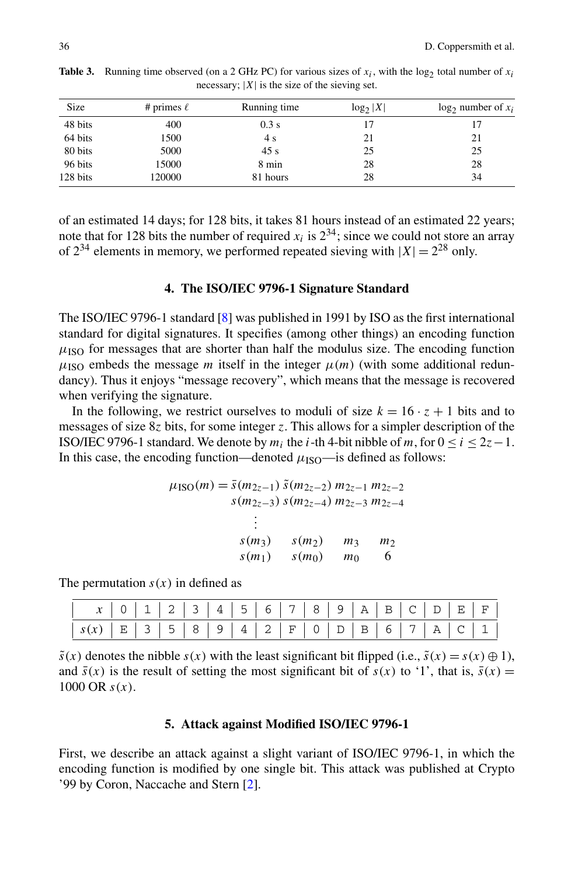| Size     | # primes $\ell$ | Running time | $log_2 X $ | $\log_2$ number of $x_i$ |
|----------|-----------------|--------------|------------|--------------------------|
| 48 bits  | 400             | 0.3 s        |            |                          |
| 64 bits  | 1500            | 4 s          | 21         | 21                       |
| 80 bits  | 5000            | 45 s         | 25         | 25                       |
| 96 bits  | 15000           | 8 min        | 28         | 28                       |
| 128 bits | 120000          | 81 hours     | 28         | 34                       |

<span id="page-9-0"></span>**Table 3.** Running time observed (on a 2 GHz PC) for various sizes of  $x_i$ , with the log<sub>2</sub> total number of  $x_i$ necessary;  $|X|$  is the size of the sieving set.

of an estimated 14 days; for 128 bits, it takes 81 hours instead of an estimated 22 years; note that for 128 bits the number of required  $x_i$  is  $2^{34}$ ; since we could not store an array of  $2^{34}$  elements in memory, we performed repeated sieving with  $|X| = 2^{28}$  only.

#### **4. The ISO/IEC 9796-1 Signature Standard**

The ISO/IEC 9796-1 standard [[8\]](#page-24-0) was published in 1991 by ISO as the first international standard for digital signatures. It specifies (among other things) an encoding function  $\mu_{\rm ISO}$  for messages that are shorter than half the modulus size. The encoding function  $\mu_{\text{ISO}}$  embeds the message *m* itself in the integer  $\mu(m)$  (with some additional redundancy). Thus it enjoys "message recovery", which means that the message is recovered when verifying the signature.

In the following, we restrict ourselves to moduli of size  $k = 16 \cdot z + 1$  bits and to messages of size 8*z* bits, for some integer *z*. This allows for a simpler description of the ISO/IEC 9796-1 standard. We denote by  $m_i$  the *i*-th 4-bit nibble of  $m$ , for  $0 \le i \le 2z-1$ . In this case, the encoding function—denoted  $\mu_{\text{ISO}}$ —is defined as follows:

$$
\mu_{\text{ISO}}(m) = \bar{s}(m_{2z-1}) \, \tilde{s}(m_{2z-2}) \, m_{2z-1} \, m_{2z-2}
$$
\n
$$
s(m_{2z-3}) \, s(m_{2z-4}) \, m_{2z-3} \, m_{2z-4}
$$
\n
$$
\vdots
$$
\n
$$
s(m_3) \, s(m_2) \, m_3 \, m_2
$$
\n
$$
s(m_1) \, s(m_0) \, m_0 \, 6
$$

The permutation  $s(x)$  in defined as

|                                          | $x   0   1   2   3   4   5   6   7   8   9   A   B   C   D   E   F  $ |  |  |
|------------------------------------------|-----------------------------------------------------------------------|--|--|
| $S(x)$ $E$ 3 5 8 9 4 2 F 0 D B 6 7 A C 1 |                                                                       |  |  |

 $\tilde{s}(x)$  denotes the nibble  $s(x)$  with the least significant bit flipped (i.e.,  $\tilde{s}(x) = s(x) \oplus 1$ ), and  $\bar{s}(x)$  is the result of setting the most significant bit of  $s(x)$  to '1', that is,  $\bar{s}(x)$  = 1000 OR *s(x)*.

# **5. Attack against Modified ISO/IEC 9796-1**

First, we describe an attack against a slight variant of ISO/IEC 9796-1, in which the encoding function is modified by one single bit. This attack was published at Crypto '99 by Coron, Naccache and Stern [[2\]](#page-24-0).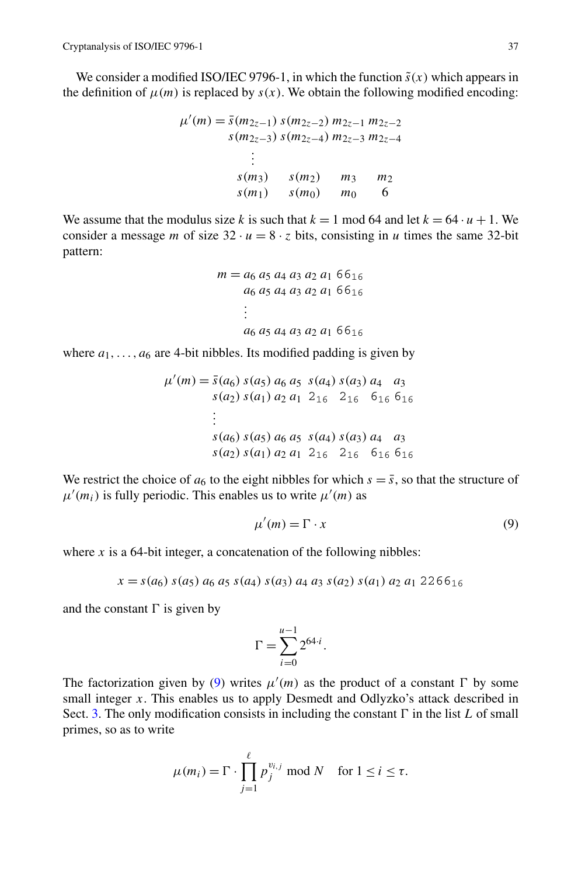We consider a modified ISO/IEC 9796-1, in which the function  $\tilde{s}(x)$  which appears in the definition of  $\mu(m)$  is replaced by  $s(x)$ . We obtain the following modified encoding:

$$
\mu'(m) = \bar{s}(m_{2z-1}) s(m_{2z-2}) m_{2z-1} m_{2z-2}
$$
  
\n
$$
s(m_{2z-3}) s(m_{2z-4}) m_{2z-3} m_{2z-4}
$$
  
\n:  
\n:  
\n
$$
s(m_3) s(m_2) m_3 m_2
$$
  
\n
$$
s(m_1) s(m_0) m_0 6
$$

We assume that the modulus size *k* is such that  $k = 1 \text{ mod } 64$  and let  $k = 64 \cdot u + 1$ . We consider a message *m* of size  $32 \cdot u = 8 \cdot z$  bits, consisting in *u* times the same 32-bit pattern:

$$
m = a_6 a_5 a_4 a_3 a_2 a_1 66_{16}
$$
  
\n
$$
a_6 a_5 a_4 a_3 a_2 a_1 66_{16}
$$
  
\n:  
\n
$$
a_6 a_5 a_4 a_3 a_2 a_1 66_{16}
$$

where  $a_1, \ldots, a_6$  are 4-bit nibbles. Its modified padding is given by

$$
\mu'(m) = \bar{s}(a_6) s(a_5) a_6 a_5 s(a_4) s(a_3) a_4 a_3 s(a_2) s(a_1) a_2 a_1 2_{16} 2_{16} 6_{16} 6_{16} \n:s(a_6) s(a_5) a_6 a_5 s(a_4) s(a_3) a_4 a_3 s(a_2) s(a_1) a_2 a_1 2_{16} 2_{16} 6_{16} 6_{16}
$$

We restrict the choice of  $a_6$  to the eight nibbles for which  $s = \bar{s}$ , so that the structure of  $\mu'(m_i)$  is fully periodic. This enables us to write  $\mu'(m)$  as

$$
\mu'(m) = \Gamma \cdot x \tag{9}
$$

where  $x$  is a 64-bit integer, a concatenation of the following nibbles:

 $x = s(a_6) s(a_5) a_6 a_5 s(a_4) s(a_3) a_4 a_3 s(a_2) s(a_1) a_2 a_1 2266_{16}$ 

and the constant  $\Gamma$  is given by

$$
\Gamma = \sum_{i=0}^{u-1} 2^{64 \cdot i}.
$$

The factorization given by (9) writes  $\mu'(m)$  as the product of a constant  $\Gamma$  by some small integer *x*. This enables us to apply Desmedt and Odlyzko's attack described in Sect. [3.](#page-3-0) The only modification consists in including the constant  $\Gamma$  in the list  $L$  of small primes, so as to write

$$
\mu(m_i) = \Gamma \cdot \prod_{j=1}^{\ell} p_j^{v_{i,j}} \bmod N \quad \text{for } 1 \le i \le \tau.
$$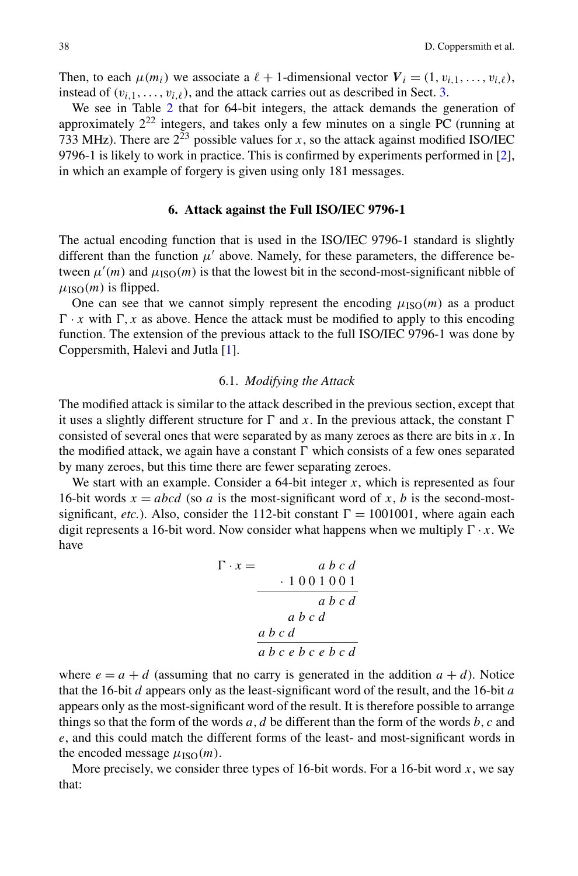<span id="page-11-0"></span>Then, to each  $\mu(m_i)$  we associate a  $\ell + 1$ -dimensional vector  $V_i = (1, v_{i,1}, \ldots, v_{i,\ell}),$ instead of  $(v_{i,1},...,v_{i,\ell})$ , and the attack carries out as described in Sect. [3](#page-3-0).

We see in Table [2](#page-7-0) that for 64-bit integers, the attack demands the generation of approximately  $2^{22}$  integers, and takes only a few minutes on a single PC (running at 733 MHz). There are  $2^{23}$  possible values for *x*, so the attack against modified ISO/IEC 9796-1 is likely to work in practice. This is confirmed by experiments performed in [[2\]](#page-24-0), in which an example of forgery is given using only 181 messages.

#### **6. Attack against the Full ISO/IEC 9796-1**

The actual encoding function that is used in the ISO/IEC 9796-1 standard is slightly different than the function  $\mu'$  above. Namely, for these parameters, the difference between  $\mu'(m)$  and  $\mu_{\text{ISO}}(m)$  is that the lowest bit in the second-most-significant nibble of  $\mu_{\text{ISO}}(m)$  is flipped.

One can see that we cannot simply represent the encoding  $\mu_{\text{ISO}}(m)$  as a product  $\Gamma \cdot x$  with  $\Gamma, x$  as above. Hence the attack must be modified to apply to this encoding function. The extension of the previous attack to the full ISO/IEC 9796-1 was done by Coppersmith, Halevi and Jutla [[1\]](#page-24-0).

#### 6.1. *Modifying the Attack*

The modified attack is similar to the attack described in the previous section, except that it uses a slightly different structure for  $\Gamma$  and x. In the previous attack, the constant  $\Gamma$ consisted of several ones that were separated by as many zeroes as there are bits in *x*. In the modified attack, we again have a constant  $\Gamma$  which consists of a few ones separated by many zeroes, but this time there are fewer separating zeroes.

We start with an example. Consider a 64-bit integer *x*, which is represented as four 16-bit words  $x = abcd$  (so *a* is the most-significant word of *x*, *b* is the second-mostsignificant, *etc.*). Also, consider the 112-bit constant  $\Gamma = 1001001$ , where again each digit represents a 16-bit word. Now consider what happens when we multiply  $\Gamma \cdot x$ . We have

$$
\Gamma \cdot x = \begin{array}{c} a b c d \\ \hline 1001001 \\ ab c d \\ ab c d \end{array}
$$

where  $e = a + d$  (assuming that no carry is generated in the addition  $a + d$ ). Notice that the 16-bit *d* appears only as the least-significant word of the result, and the 16-bit *a* appears only as the most-significant word of the result. It is therefore possible to arrange things so that the form of the words  $a, d$  be different than the form of the words  $b, c$  and *e*, and this could match the different forms of the least- and most-significant words in the encoded message  $\mu_{\text{ISO}}(m)$ .

More precisely, we consider three types of 16-bit words. For a 16-bit word  $x$ , we say that: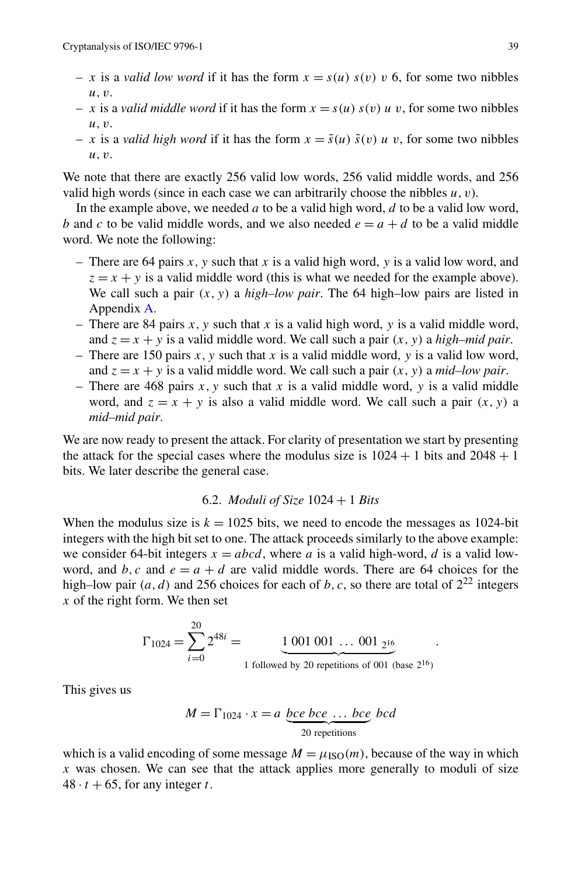- *x* is a *valid low word* if it has the form  $x = s(u) s(v) v$  6, for some two nibbles *u,v*.
- $x$  is a *valid middle word* if it has the form  $x = s(u) s(v) u v$ , for some two nibbles *u,v*.
- $x$  is a *valid high word* if it has the form  $x = \bar{s}(u) \tilde{s}(v) u v$ , for some two nibbles *u,v*.

We note that there are exactly 256 valid low words, 256 valid middle words, and 256 valid high words (since in each case we can arbitrarily choose the nibbles *u,v*).

In the example above, we needed *a* to be a valid high word, *d* to be a valid low word, *b* and *c* to be valid middle words, and we also needed  $e = a + d$  to be a valid middle word. We note the following:

- There are 64 pairs *x,y* such that *x* is a valid high word, *y* is a valid low word, and  $z = x + y$  is a valid middle word (this is what we needed for the example above). We call such a pair  $(x, y)$  a *high–low pair*. The 64 high–low pairs are listed in Appendix [A.](#page-23-0)
- There are 84 pairs  $x$ ,  $y$  such that  $x$  is a valid high word,  $y$  is a valid middle word, and  $z = x + y$  is a valid middle word. We call such a pair  $(x, y)$  a *high–mid pair*.
- There are 150 pairs  $x, y$  such that  $x$  is a valid middle word,  $y$  is a valid low word, and  $z = x + y$  is a valid middle word. We call such a pair  $(x, y)$  a *mid–low pair*.
- There are 468 pairs  $x$ ,  $y$  such that  $x$  is a valid middle word,  $y$  is a valid middle word, and  $z = x + y$  is also a valid middle word. We call such a pair  $(x, y)$  a *mid–mid pair*.

We are now ready to present the attack. For clarity of presentation we start by presenting the attack for the special cases where the modulus size is  $1024 + 1$  bits and  $2048 + 1$ bits. We later describe the general case.

#### 6.2. *Moduli of Size* 1024 + 1 *Bits*

When the modulus size is  $k = 1025$  bits, we need to encode the messages as 1024-bit integers with the high bit set to one. The attack proceeds similarly to the above example: we consider 64-bit integers  $x = abcd$ , where *a* is a valid high-word, *d* is a valid lowword, and  $b, c$  and  $e = a + d$  are valid middle words. There are 64 choices for the high–low pair  $(a, d)$  and 256 choices for each of *b*, *c*, so there are total of  $2^{22}$  integers *x* of the right form. We then set

$$
\Gamma_{1024} = \sum_{i=0}^{20} 2^{48i} = \underbrace{1 \ 001 \ 001 \ \dots \ 001}_{1 \ \text{followed by 20 repetitions of 001 (base 216)}}.
$$

This gives us

$$
M = \Gamma_{1024} \cdot x = a \underbrace{bce \text{ } bce \text{ } ... \text{ } bce}_{20 \text{ repetitions}} bcd
$$

which is a valid encoding of some message  $M = \mu_{\text{ISO}}(m)$ , because of the way in which *x* was chosen. We can see that the attack applies more generally to moduli of size  $48 \cdot t + 65$ , for any integer *t*.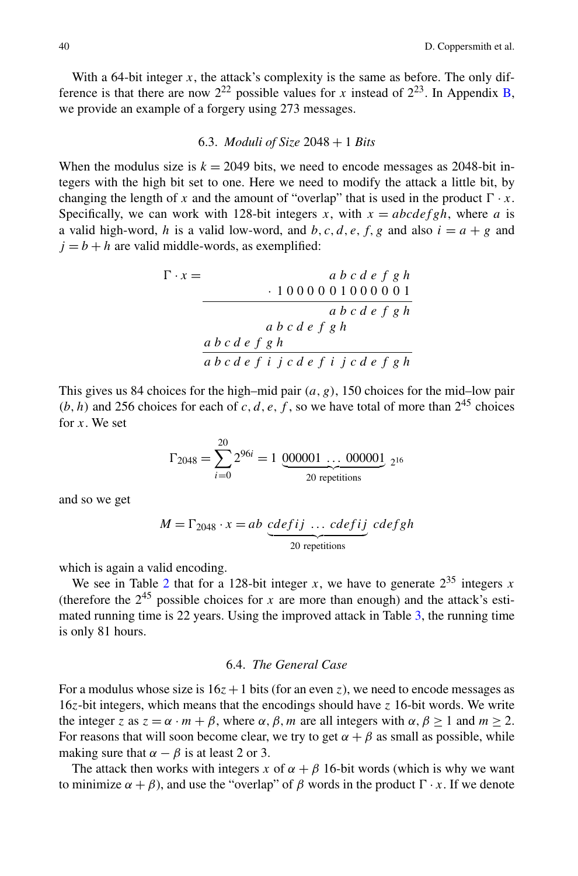<span id="page-13-0"></span>With a 64-bit integer  $x$ , the attack's complexity is the same as before. The only difference is that there are now  $2^{22}$  possible values for *x* instead of  $2^{23}$ . In Appendix [B](#page-23-0), we provide an example of a forgery using 273 messages.

# 6.3. *Moduli of Size* 2048 + 1 *Bits*

When the modulus size is  $k = 2049$  bits, we need to encode messages as 2048-bit integers with the high bit set to one. Here we need to modify the attack a little bit, by changing the length of x and the amount of "overlap" that is used in the product  $\Gamma \cdot x$ . Specifically, we can work with 128-bit integers *x*, with  $x = abcdefgh$ , where *a* is a valid high-word, *h* is a valid low-word, and *b*, *c*, *d*, *e*, *f*, *g* and also  $i = a + g$  and  $j = b + h$  are valid middle-words, as exemplified:

$$
\Gamma \cdot x = \n\begin{array}{c}\n\text{a } b \text{ c } d \text{ e } f \text{ g } h \\
\hline\n1000001000001 \\
\text{a } b \text{ c } d \text{ e } f \text{ g } h\n\end{array}
$$
\n
$$
\frac{\text{a } b \text{ c } d \text{ e } f \text{ g } h}{\text{a } b \text{ c } d \text{ e } f \text{ g } h}
$$

This gives us 84 choices for the high–mid pair *(a,g)*, 150 choices for the mid–low pair  $(b, h)$  and 256 choices for each of *c*, *d*, *e*, *f*, so we have total of more than  $2^{45}$  choices for *x*. We set

$$
\Gamma_{2048} = \sum_{i=0}^{20} 2^{96i} = 1 \underbrace{000001 \dots 000001}_{2^{16}}
$$

and so we get

$$
M = \Gamma_{2048} \cdot x = ab \underbrace{cdefij \ \dots \ cdefij}_{20 \text{ repetitions}} cdefgh
$$

which is again a valid encoding.

We see in Table [2](#page-7-0) that for a 128-bit integer *x*, we have to generate  $2^{35}$  integers *x* (therefore the  $2^{45}$  possible choices for *x* are more than enough) and the attack's estimated running time is 22 years. Using the improved attack in Table [3,](#page-9-0) the running time is only 81 hours.

# 6.4. *The General Case*

For a modulus whose size is  $16z + 1$  bits (for an even *z*), we need to encode messages as 16*z*-bit integers, which means that the encodings should have *z* 16-bit words. We write the integer *z* as  $z = \alpha \cdot m + \beta$ , where  $\alpha, \beta, m$  are all integers with  $\alpha, \beta \ge 1$  and  $m \ge 2$ . For reasons that will soon become clear, we try to get  $\alpha + \beta$  as small as possible, while making sure that  $\alpha - \beta$  is at least 2 or 3.

The attack then works with integers *x* of  $\alpha + \beta$  16-bit words (which is why we want to minimize  $\alpha + \beta$ ), and use the "overlap" of  $\beta$  words in the product  $\Gamma \cdot x$ . If we denote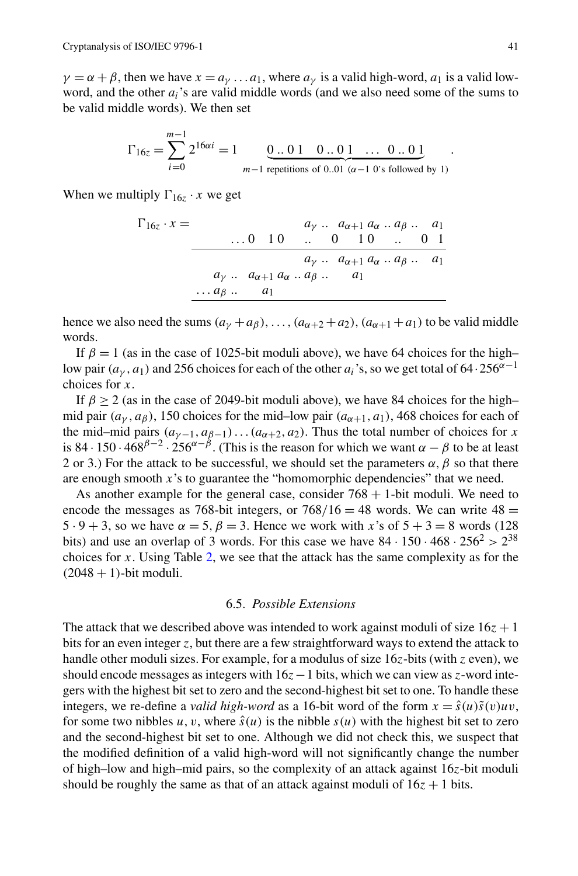$\gamma = \alpha + \beta$ , then we have  $x = a_{\gamma} \dots a_1$ , where  $a_{\gamma}$  is a valid high-word,  $a_1$  is a valid lowword, and the other *ai*'s are valid middle words (and we also need some of the sums to be valid middle words). We then set

$$
\Gamma_{16z} = \sum_{i=0}^{m-1} 2^{16\alpha i} = 1 \underbrace{0..01 \quad 0..01 \quad \dots \quad 0..01}_{m-1 \text{ repetitions of } 0..01 \ (\alpha-1\ 0\text{'s followed by } 1)}
$$

When we multiply  $\Gamma_{16}$  · *x* we get

$$
\Gamma_{16z} \cdot x = \n\begin{array}{c}\n a_y \ldots a_{\alpha+1} a_{\alpha} \ldots a_{\beta} \ldots a_1 \\
 \ldots 0 \quad 10 \quad \ldots \quad 0 \quad 10 \quad \ldots \quad 0 \quad 1 \\
 a_y \ldots a_{\alpha+1} a_{\alpha} \ldots a_{\beta} \ldots a_1 \\
 a_y \ldots a_{\alpha+1} a_{\alpha} \ldots a_{\beta} \ldots a_1 \\
 \ldots a_{\beta} \ldots a_1\n\end{array}
$$

hence we also need the sums  $(a<sub>\gamma</sub> + a<sub>\beta</sub>)$ ,...,  $(a<sub>\alpha+2</sub> + a<sub>2</sub>)$ ,  $(a<sub>\alpha+1</sub> + a<sub>1</sub>)$  to be valid middle words.

If  $\beta = 1$  (as in the case of 1025-bit moduli above), we have 64 choices for the high– low pair  $(a<sub>\gamma</sub>, a<sub>1</sub>)$  and 256 choices for each of the other  $a<sub>i</sub>$ 's, so we get total of 64·256<sup> $\alpha-1$ </sup> choices for *x*.

If  $\beta \ge 2$  (as in the case of 2049-bit moduli above), we have 84 choices for the high– mid pair  $(a<sub>\nu</sub>, a<sub>\beta</sub>)$ , 150 choices for the mid–low pair  $(a<sub>\alpha+1</sub>, a<sub>1</sub>)$ , 468 choices for each of the mid–mid pairs  $(a_{\gamma-1}, a_{\beta-1}) \dots (a_{\alpha+2}, a_2)$ . Thus the total number of choices for *x* is 84 · 150 ·  $468^{\beta-2} \cdot 256^{\alpha-\beta}$ . (This is the reason for which we want  $\alpha - \beta$  to be at least 2 or 3.) For the attack to be successful, we should set the parameters  $\alpha$ ,  $\beta$  so that there are enough smooth *x*'s to guarantee the "homomorphic dependencies" that we need.

As another example for the general case, consider  $768 + 1$ -bit moduli. We need to encode the messages as 768-bit integers, or  $768/16 = 48$  words. We can write  $48 =$ 5 · 9 + 3, so we have  $\alpha = 5$ ,  $\beta = 3$ . Hence we work with *x*'s of  $5 + 3 = 8$  words (128) bits) and use an overlap of 3 words. For this case we have  $84 \cdot 150 \cdot 468 \cdot 256^2 > 2^{38}$ choices for *x*. Using Table [2,](#page-7-0) we see that the attack has the same complexity as for the  $(2048 + 1)$ -bit moduli.

#### 6.5. *Possible Extensions*

The attack that we described above was intended to work against moduli of size  $16z + 1$ bits for an even integer *z*, but there are a few straightforward ways to extend the attack to handle other moduli sizes. For example, for a modulus of size 16*z*-bits (with *z* even), we should encode messages as integers with 16*z*−1 bits, which we can view as *z*-word integers with the highest bit set to zero and the second-highest bit set to one. To handle these integers, we re-define a *valid high-word* as a 16-bit word of the form  $x = \hat{s}(u)\tilde{s}(v)uv$ , for some two nibbles *u*, *v*, where  $\hat{s}(u)$  is the nibble  $s(u)$  with the highest bit set to zero and the second-highest bit set to one. Although we did not check this, we suspect that the modified definition of a valid high-word will not significantly change the number of high–low and high–mid pairs, so the complexity of an attack against 16*z*-bit moduli should be roughly the same as that of an attack against moduli of  $16z + 1$  bits.

*.*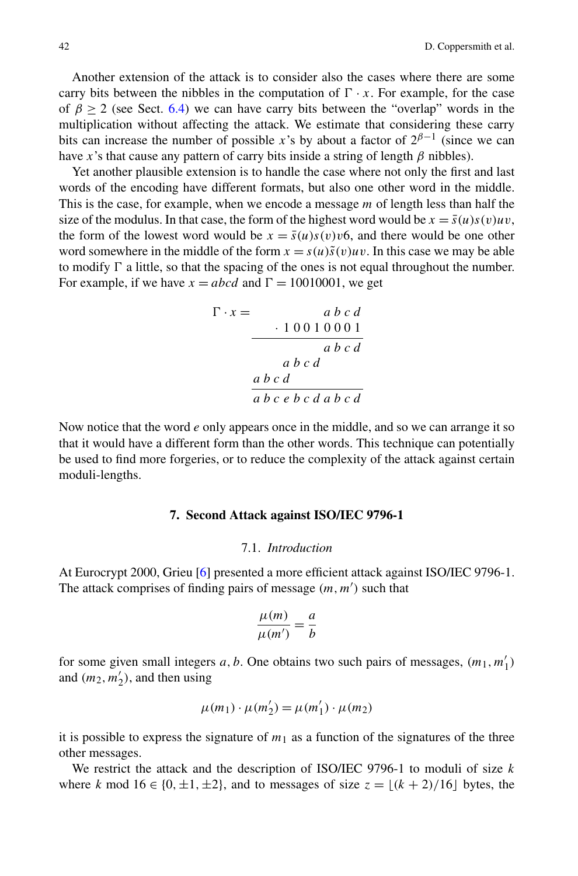Another extension of the attack is to consider also the cases where there are some carry bits between the nibbles in the computation of  $\Gamma \cdot x$ . For example, for the case of  $\beta \ge 2$  (see Sect. [6.4\)](#page-13-0) we can have carry bits between the "overlap" words in the multiplication without affecting the attack. We estimate that considering these carry bits can increase the number of possible *x*'s by about a factor of  $2^{\beta-1}$  (since we can have *x*'s that cause any pattern of carry bits inside a string of length *β* nibbles).

Yet another plausible extension is to handle the case where not only the first and last words of the encoding have different formats, but also one other word in the middle. This is the case, for example, when we encode a message *m* of length less than half the size of the modulus. In that case, the form of the highest word would be  $x = \bar{s}(u)s(v)uv$ , the form of the lowest word would be  $x = \bar{s}(u)s(v)v6$ , and there would be one other word somewhere in the middle of the form  $x = s(u)\tilde{s}(v)uv$ . In this case we may be able to modify  $\Gamma$  a little, so that the spacing of the ones is not equal throughout the number. For example, if we have  $x = abcd$  and  $\Gamma = 10010001$ , we get

$$
\Gamma \cdot x = \begin{array}{c} a b c d \\ \hline 10010001 \\ ab c d \\ ab c d \end{array}
$$

Now notice that the word *e* only appears once in the middle, and so we can arrange it so that it would have a different form than the other words. This technique can potentially be used to find more forgeries, or to reduce the complexity of the attack against certain moduli-lengths.

# **7. Second Attack against ISO/IEC 9796-1**

#### 7.1. *Introduction*

At Eurocrypt 2000, Grieu [\[6](#page-24-0)] presented a more efficient attack against ISO/IEC 9796-1. The attack comprises of finding pairs of message  $(m, m')$  such that

$$
\frac{\mu(m)}{\mu(m')} = \frac{a}{b}
$$

for some given small integers  $a, b$ . One obtains two such pairs of messages,  $(m_1, m'_1)$ and  $(m_2, m'_2)$ , and then using

$$
\mu(m_1)\cdot\mu(m'_2)=\mu(m'_1)\cdot\mu(m_2)
$$

it is possible to express the signature of  $m_1$  as a function of the signatures of the three other messages.

We restrict the attack and the description of ISO/IEC 9796-1 to moduli of size *k* where *k* mod  $16 \in \{0, \pm 1, \pm 2\}$ , and to messages of size  $z = \lfloor (k+2)/16 \rfloor$  bytes, the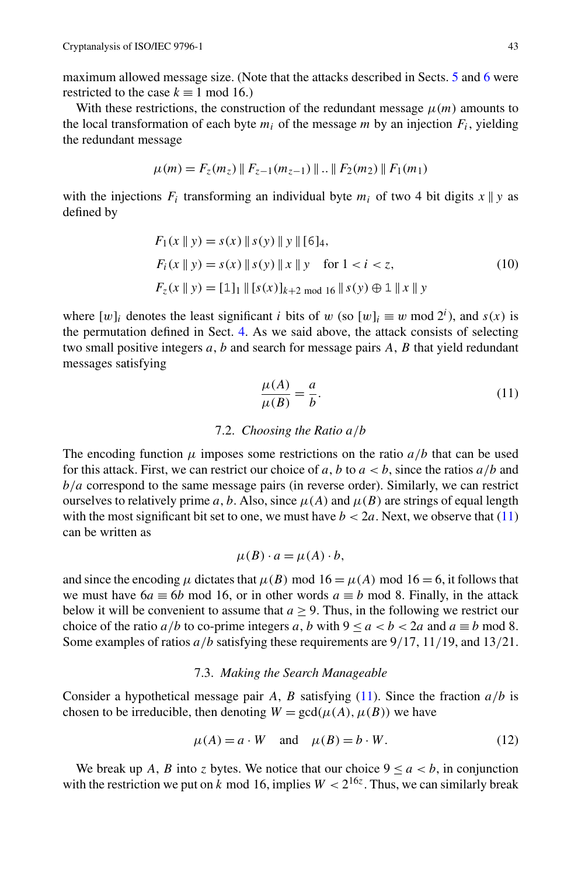<span id="page-16-0"></span>maximum allowed message size. (Note that the attacks described in Sects. [5](#page-9-0) and [6](#page-11-0) were restricted to the case  $k \equiv 1 \mod 16$ .)

With these restrictions, the construction of the redundant message  $\mu(m)$  amounts to the local transformation of each byte  $m_i$  of the message  $m$  by an injection  $F_i$ , yielding the redundant message

$$
\mu(m) = F_z(m_z) \parallel F_{z-1}(m_{z-1}) \parallel .. \parallel F_2(m_2) \parallel F_1(m_1)
$$

with the injections  $F_i$  transforming an individual byte  $m_i$  of two 4 bit digits  $x \parallel y$  as defined by

$$
F_1(x \parallel y) = s(x) \parallel s(y) \parallel y \parallel [6]_4,
$$
  
\n
$$
F_i(x \parallel y) = s(x) \parallel s(y) \parallel x \parallel y \quad \text{for } 1 < i < z,
$$
  
\n
$$
F_z(x \parallel y) = [1]_1 \parallel [s(x)]_{k+2 \mod 16} \parallel s(y) \oplus 1 \parallel x \parallel y
$$
\n(10)

where  $[w]_i$  denotes the least significant *i* bits of *w* (so  $[w]_i \equiv w \mod 2^i$ ), and *s(x)* is the permutation defined in Sect. [4](#page-9-0). As we said above, the attack consists of selecting two small positive integers *a*, *b* and search for message pairs *A*, *B* that yield redundant messages satisfying

$$
\frac{\mu(A)}{\mu(B)} = \frac{a}{b}.\tag{11}
$$

# 7.2. *Choosing the Ratio a/b*

The encoding function  $\mu$  imposes some restrictions on the ratio  $a/b$  that can be used for this attack. First, we can restrict our choice of  $a$ ,  $b$  to  $a < b$ , since the ratios  $a/b$  and *b/a* correspond to the same message pairs (in reverse order). Similarly, we can restrict ourselves to relatively prime *a*, *b*. Also, since  $\mu(A)$  and  $\mu(B)$  are strings of equal length with the most significant bit set to one, we must have  $b < 2a$ . Next, we observe that (11) can be written as

$$
\mu(B) \cdot a = \mu(A) \cdot b,
$$

and since the encoding  $\mu$  dictates that  $\mu(B)$  mod  $16 = \mu(A)$  mod  $16 = 6$ , it follows that we must have  $6a \equiv 6b \mod 16$ , or in other words  $a \equiv b \mod 8$ . Finally, in the attack below it will be convenient to assume that  $a \geq 9$ . Thus, in the following we restrict our choice of the ratio  $a/b$  to co-prime integers a, b with  $9 \le a < b < 2a$  and  $a \equiv b \mod 8$ . Some examples of ratios *a/b* satisfying these requirements are 9*/*17, 11*/*19, and 13*/*21.

# 7.3. *Making the Search Manageable*

Consider a hypothetical message pair *A*, *B* satisfying (11). Since the fraction  $a/b$  is chosen to be irreducible, then denoting  $W = \text{gcd}(\mu(A), \mu(B))$  we have

$$
\mu(A) = a \cdot W \quad \text{and} \quad \mu(B) = b \cdot W. \tag{12}
$$

We break up *A*, *B* into *z* bytes. We notice that our choice  $9 \le a \le b$ , in conjunction with the restriction we put on *k* mod 16, implies  $W < 2^{16z}$ . Thus, we can similarly break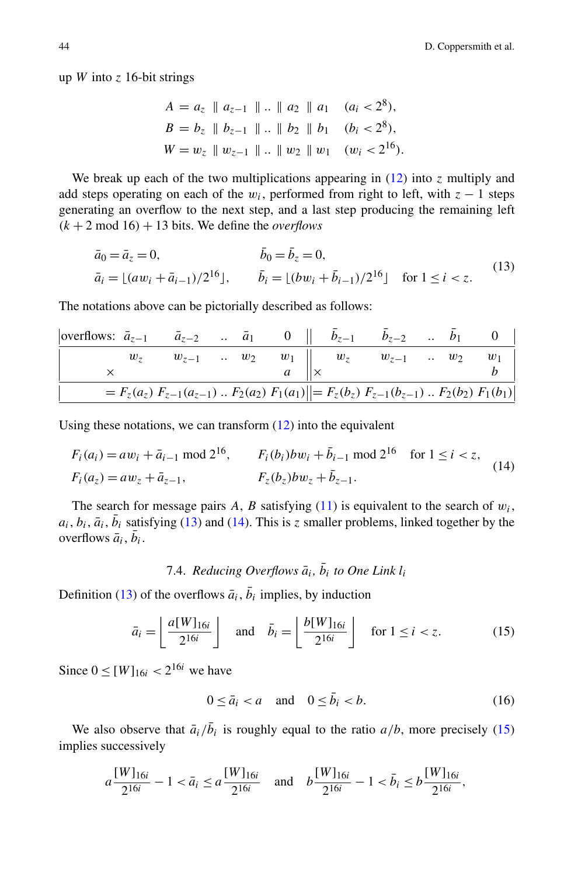<span id="page-17-0"></span>up *W* into  $z$  16-bit strings

$$
A = a_z \parallel a_{z-1} \parallel ... \parallel a_2 \parallel a_1 \quad (a_i < 2^8),
$$
\n
$$
B = b_z \parallel b_{z-1} \parallel ... \parallel b_2 \parallel b_1 \quad (b_i < 2^8),
$$
\n
$$
W = w_z \parallel w_{z-1} \parallel ... \parallel w_2 \parallel w_1 \quad (w_i < 2^{16}).
$$

We break up each of the two multiplications appearing in  $(12)$  $(12)$  into *z* multiply and add steps operating on each of the  $w_i$ , performed from right to left, with  $z - 1$  steps generating an overflow to the next step, and a last step producing the remaining left  $(k + 2 \text{ mod } 16) + 13$  bits. We define the *overflows* 

$$
\bar{a}_0 = \bar{a}_z = 0, \qquad \qquad \bar{b}_0 = \bar{b}_z = 0, \n\bar{a}_i = \lfloor (aw_i + \bar{a}_{i-1})/2^{16} \rfloor, \qquad \bar{b}_i = \lfloor (bw_i + \bar{b}_{i-1})/2^{16} \rfloor \quad \text{for } 1 \le i < z.
$$
\n(13)

The notations above can be pictorially described as follows:

| overflows: $\bar{a}_{z-1}$ $\bar{a}_{z-2}$ $\bar{a}_1$ 0    $b_{z-1}$ $b_{z-2}$ $b_1$ 0 |  |  |  |                                                                                                           |  |       |
|-----------------------------------------------------------------------------------------|--|--|--|-----------------------------------------------------------------------------------------------------------|--|-------|
|                                                                                         |  |  |  | $w_z$ $w_{z-1}$ $\ldots$ $w_2$ $w_1$ $\downarrow \times$ $w_z$ $w_{z-1}$ $\ldots$ $w_2$                   |  | $w_1$ |
|                                                                                         |  |  |  |                                                                                                           |  |       |
|                                                                                         |  |  |  | $= F_z(a_z) F_{z-1}(a_{z-1}) \dots F_2(a_2) F_1(a_1) = F_z(b_z) F_{z-1}(b_{z-1}) \dots F_2(b_2) F_1(b_1)$ |  |       |

Using these notations, we can transform  $(12)$  $(12)$  into the equivalent

$$
F_i(a_i) = aw_i + \bar{a}_{i-1} \mod 2^{16}, \qquad F_i(b_i)bw_i + \bar{b}_{i-1} \mod 2^{16} \quad \text{for } 1 \le i < z,
$$
\n
$$
F_i(a_z) = aw_z + \bar{a}_{z-1}, \qquad F_z(b_z)bw_z + \bar{b}_{z-1}.
$$
\n
$$
(14)
$$

The search for message pairs  $A$ ,  $B$  satisfying [\(11](#page-16-0)) is equivalent to the search of  $w_i$ ,  $a_i, b_i, \bar{a}_i, \bar{b}_i$  satisfying (13) and (14). This is *z* smaller problems, linked together by the overflows  $\bar{a}_i$ ,  $\bar{b}_i$ .

# 7.4. *Reducing Overflows*  $\bar{a}_i$ ,  $\bar{b}_i$  to One Link  $l_i$

Definition (13) of the overflows  $\bar{a}_i$ ,  $\bar{b}_i$  implies, by induction

$$
\bar{a}_i = \left\lfloor \frac{a[W]_{16i}}{2^{16i}} \right\rfloor \quad \text{and} \quad \bar{b}_i = \left\lfloor \frac{b[W]_{16i}}{2^{16i}} \right\rfloor \quad \text{for } 1 \le i < z. \tag{15}
$$

Since  $0 \leq [W]_{16i} < 2^{16i}$  we have

$$
0 \le \bar{a}_i < a \quad \text{and} \quad 0 \le \bar{b}_i < b. \tag{16}
$$

We also observe that  $\bar{a}_i/\bar{b}_i$  is roughly equal to the ratio  $a/b$ , more precisely (15) implies successively

$$
a \frac{[W]_{16i}}{2^{16i}} - 1 < \bar{a}_i \le a \frac{[W]_{16i}}{2^{16i}} \quad \text{and} \quad b \frac{[W]_{16i}}{2^{16i}} - 1 < \bar{b}_i \le b \frac{[W]_{16i}}{2^{16i}},
$$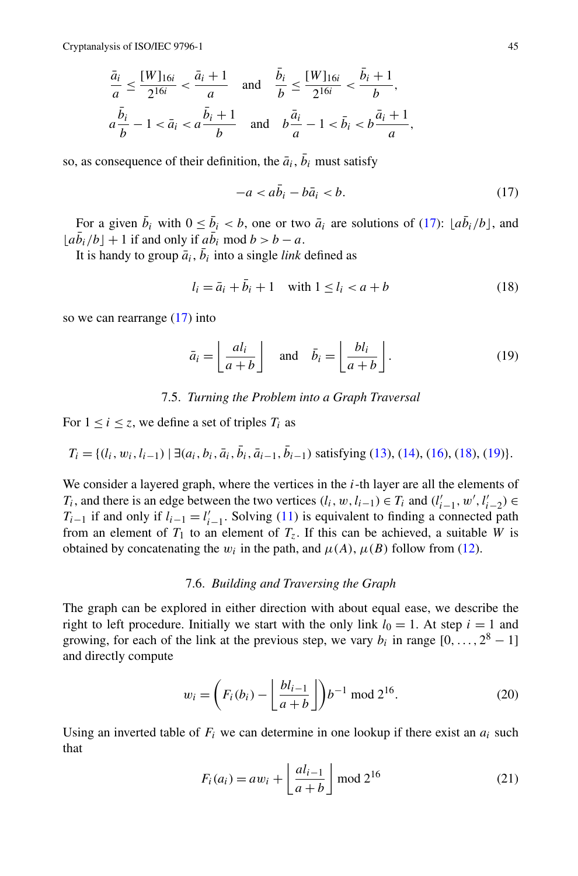<span id="page-18-0"></span>
$$
\frac{\bar{a}_i}{a} \le \frac{[W]_{16i}}{2^{16i}} < \frac{\bar{a}_i + 1}{a} \quad \text{and} \quad \frac{\bar{b}_i}{b} \le \frac{[W]_{16i}}{2^{16i}} < \frac{\bar{b}_i + 1}{b},
$$
\n
$$
a\frac{\bar{b}_i}{b} - 1 < \bar{a}_i < a\frac{\bar{b}_i + 1}{b} \quad \text{and} \quad b\frac{\bar{a}_i}{a} - 1 < \bar{b}_i < b\frac{\bar{a}_i + 1}{a},
$$

so, as consequence of their definition, the  $\bar{a}_i$ ,  $\bar{b}_i$  must satisfy

$$
-a < a\bar{b}_i - b\bar{a}_i < b. \tag{17}
$$

For a given  $\bar{b}_i$  with  $0 \le \bar{b}_i < b$ , one or two  $\bar{a}_i$  are solutions of (17):  $[a\bar{b}_i/b]$ , and  $\lfloor a\bar{b}_i/b \rfloor + 1$  if and only if  $a\bar{b}_i \text{ mod } b > b - a$ .

It is handy to group  $\bar{a}_i$ ,  $\bar{b}_i$  into a single *link* defined as

$$
l_i = \bar{a}_i + \bar{b}_i + 1 \quad \text{with } 1 \le l_i < a + b \tag{18}
$$

so we can rearrange (17) into

$$
\bar{a}_i = \left\lfloor \frac{al_i}{a+b} \right\rfloor \quad \text{and} \quad \bar{b}_i = \left\lfloor \frac{bl_i}{a+b} \right\rfloor. \tag{19}
$$

# 7.5. *Turning the Problem into a Graph Traversal*

For  $1 \le i \le z$ , we define a set of triples  $T_i$  as

$$
T_i = \{ (l_i, w_i, l_{i-1}) \mid \exists (a_i, b_i, \bar{a}_i, \bar{b}_i, \bar{a}_{i-1}, \bar{b}_{i-1}) \text{ satisfying (13), (14), (16), (18), (19) \}.
$$

We consider a layered graph, where the vertices in the *i*-th layer are all the elements of *T<sub>i</sub>*, and there is an edge between the two vertices  $(l_i, w, l_{i-1}) \in T_i$  and  $(l'_{i-1}, w', l'_{i-2}) \in T_i$ *T<sub>i−1</sub>* if and only if  $l_{i-1} = l'_{i-1}$ . Solving ([11\)](#page-16-0) is equivalent to finding a connected path from an element of  $T_1$  to an element of  $T_2$ . If this can be achieved, a suitable *W* is obtained by concatenating the  $w_i$  in the path, and  $\mu(A)$ ,  $\mu(B)$  follow from [\(12](#page-16-0)).

# 7.6. *Building and Traversing the Graph*

The graph can be explored in either direction with about equal ease, we describe the right to left procedure. Initially we start with the only link  $l_0 = 1$ . At step  $i = 1$  and growing, for each of the link at the previous step, we vary  $b_i$  in range  $[0, \ldots, 2^8 - 1]$ and directly compute

$$
w_i = \left( F_i(b_i) - \left\lfloor \frac{bl_{i-1}}{a+b} \right\rfloor \right) b^{-1} \text{ mod } 2^{16}.
$$
 (20)

Using an inverted table of  $F_i$  we can determine in one lookup if there exist an  $a_i$  such that

$$
F_i(a_i) = aw_i + \left\lfloor \frac{al_{i-1}}{a+b} \right\rfloor \mod 2^{16}
$$
 (21)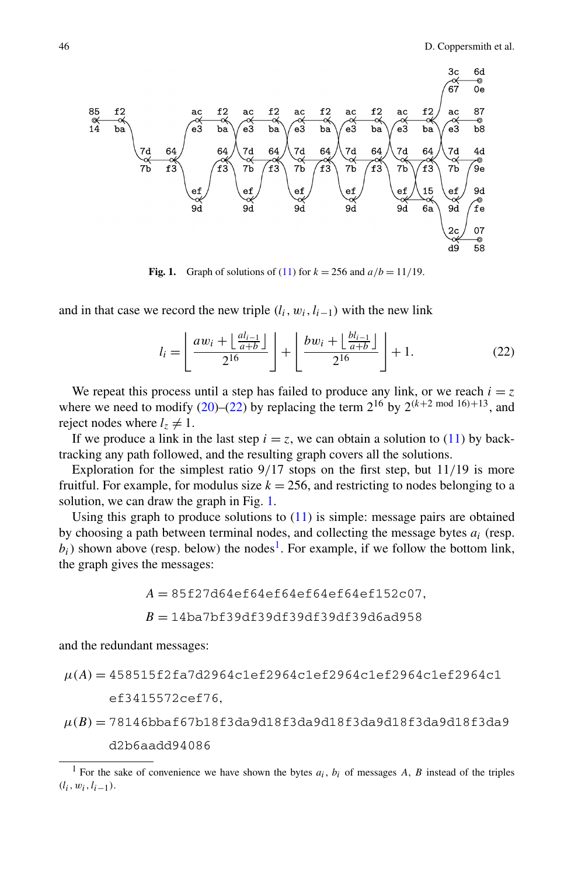**Fig. 1.** Graph of solutions of ([11](#page-16-0)) for  $k = 256$  and  $a/b = 11/19$ .

and in that case we record the new triple  $(l_i, w_i, l_{i-1})$  with the new link

$$
l_i = \left\lfloor \frac{aw_i + \left\lfloor \frac{al_{i-1}}{a+b} \right\rfloor}{2^{16}} \right\rfloor + \left\lfloor \frac{bw_i + \left\lfloor \frac{bl_{i-1}}{a+b} \right\rfloor}{2^{16}} \right\rfloor + 1. \tag{22}
$$

We repeat this process until a step has failed to produce any link, or we reach  $i = z$ where we need to modify [\(20](#page-18-0))–(22) by replacing the term  $2^{16}$  by  $2^{(k+2 \text{ mod } 16)+13}$ , and reject nodes where  $l_z \neq 1$ .

If we produce a link in the last step  $i = z$ , we can obtain a solution to ([11\)](#page-16-0) by backtracking any path followed, and the resulting graph covers all the solutions.

Exploration for the simplest ratio 9*/*17 stops on the first step, but 11*/*19 is more fruitful. For example, for modulus size  $k = 256$ , and restricting to nodes belonging to a solution, we can draw the graph in Fig. 1.

Using this graph to produce solutions to  $(11)$  $(11)$  is simple: message pairs are obtained by choosing a path between terminal nodes, and collecting the message bytes *ai* (resp.  $b_i$ ) shown above (resp. below) the nodes<sup>1</sup>. For example, if we follow the bottom link, the graph gives the messages:

$$
A = 85f27d64ef64ef64ef64ef64ef152c07,
$$

$$
B=14b a 7b f 39d f 39d f 39d f 39d f 39d 6a d 958
$$

and the redundant messages:

$$
\mu(A) = 458515f2fa7d2964c1ef2964c1ef2964c1ef2964c1ef2964c1e1
$$
  
ef3415572cef76,

$$
\mu(B) = 78146bbaf67b18f3da9d18f3da9d18f3da9d18f3da9d18f3da9
$$
  

$$
d2b6aadd94086
$$

<sup>&</sup>lt;sup>1</sup> For the sake of convenience we have shown the bytes  $a_i$ ,  $b_i$  of messages *A*, *B* instead of the triples *(li,wi,li*−1*)*.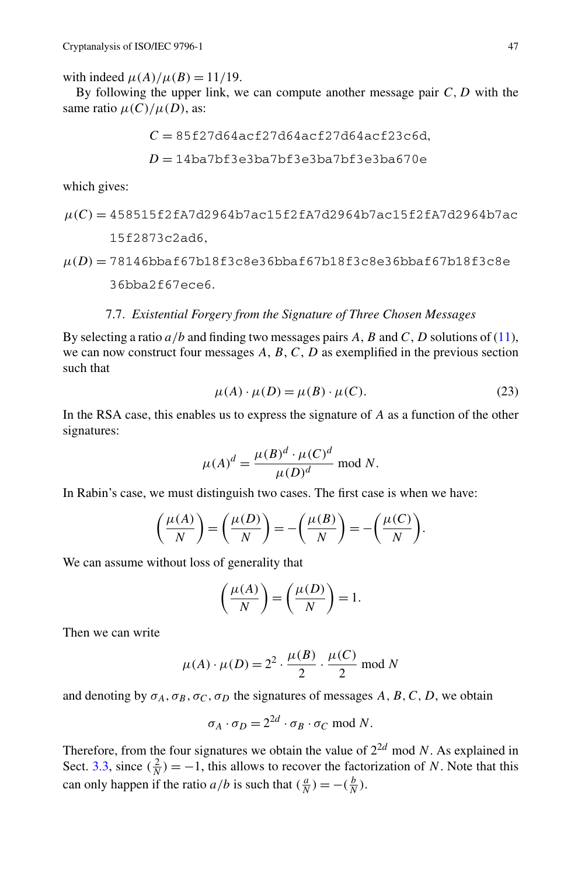with indeed  $\mu(A)/\mu(B) = 11/19$ .

By following the upper link, we can compute another message pair *C,D* with the same ratio  $\mu(C)/\mu(D)$ , as:

$$
C = 85f27d64acf27d64acf27d64acf23c6d,
$$
  

$$
D = 14ba7bf3e3ba7bf3e3ba7bf3e3ba670e
$$

which gives:

$$
\mu(C) = 458515f2fA7d2964b7ac15f2fA7d2964b7ac15f2fA7d2964b7ac
$$
  
15f2873c2ad6,

$$
\mu(D) = 78146bbaf67b18f3c8e36bbaf67b18f3c8e36bbaf67b18f3c8e
$$
  
36bba2f67ece6.

# 7.7. *Existential Forgery from the Signature of Three Chosen Messages*

By selecting a ratio *a/b* and finding two messages pairs *A*, *B* and *C*, *D* solutions of ([11\)](#page-16-0), we can now construct four messages *A*, *B*, *C*, *D* as exemplified in the previous section such that

$$
\mu(A) \cdot \mu(D) = \mu(B) \cdot \mu(C). \tag{23}
$$

In the RSA case, this enables us to express the signature of *A* as a function of the other signatures:

$$
\mu(A)^d = \frac{\mu(B)^d \cdot \mu(C)^d}{\mu(D)^d} \text{ mod } N.
$$

In Rabin's case, we must distinguish two cases. The first case is when we have:

$$
\left(\frac{\mu(A)}{N}\right) = \left(\frac{\mu(D)}{N}\right) = -\left(\frac{\mu(B)}{N}\right) = -\left(\frac{\mu(C)}{N}\right).
$$

We can assume without loss of generality that

$$
\left(\frac{\mu(A)}{N}\right) = \left(\frac{\mu(D)}{N}\right) = 1.
$$

Then we can write

$$
\mu(A) \cdot \mu(D) = 2^2 \cdot \frac{\mu(B)}{2} \cdot \frac{\mu(C)}{2} \mod N
$$

and denoting by  $\sigma_A$ ,  $\sigma_B$ ,  $\sigma_C$ ,  $\sigma_D$  the signatures of messages *A*, *B*, *C*, *D*, we obtain

$$
\sigma_A \cdot \sigma_D = 2^{2d} \cdot \sigma_B \cdot \sigma_C \mod N.
$$

Therefore, from the four signatures we obtain the value of  $2^{2d}$  mod *N*. As explained in Sect. [3.3,](#page-6-0) since  $(\frac{2}{N}) = -1$ , this allows to recover the factorization of *N*. Note that this can only happen if the ratio *a/b* is such that  $(\frac{a}{N}) = -(\frac{b}{N})$ .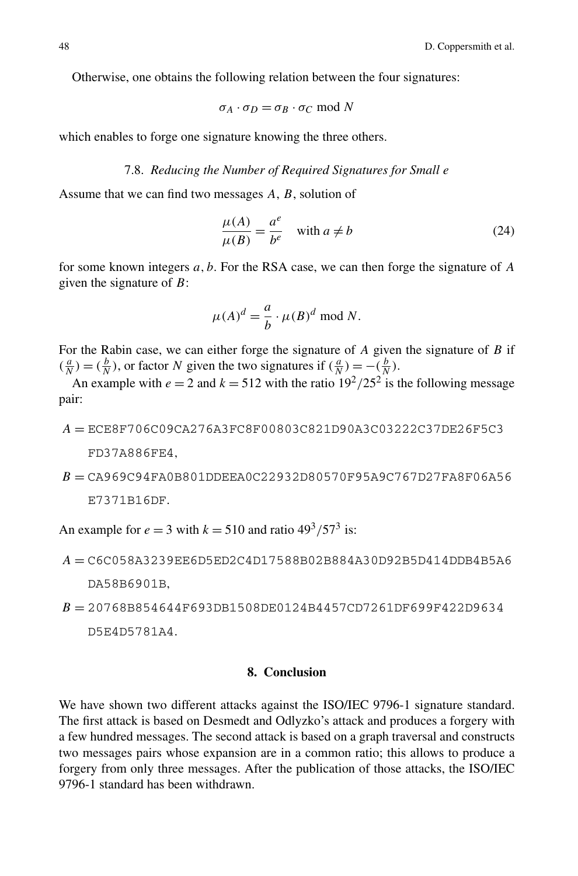Otherwise, one obtains the following relation between the four signatures:

$$
\sigma_A \cdot \sigma_D = \sigma_B \cdot \sigma_C \mod N
$$

which enables to forge one signature knowing the three others.

# 7.8. *Reducing the Number of Required Signatures for Small e*

Assume that we can find two messages *A*, *B*, solution of

$$
\frac{\mu(A)}{\mu(B)} = \frac{a^e}{b^e} \quad \text{with } a \neq b \tag{24}
$$

for some known integers *a,b*. For the RSA case, we can then forge the signature of *A* given the signature of *B*:

$$
\mu(A)^d = \frac{a}{b} \cdot \mu(B)^d \text{ mod } N.
$$

For the Rabin case, we can either forge the signature of *A* given the signature of *B* if  $(\frac{a}{N}) = (\frac{b}{N})$ , or factor *N* given the two signatures if  $(\frac{a}{N}) = -(\frac{b}{N})$ .

An example with  $e = 2$  and  $k = 512$  with the ratio  $19^2 / 25^2$  is the following message pair:

- *A* = ECE8F706C09CA276A3FC8F00803C821D90A3C03222C37DE26F5C3 FD37A886FE4*,*
- *B* = CA969C94FA0B801DDEEA0C22932D80570F95A9C767D27FA8F06A56 E7371B16DF*.*

An example for  $e = 3$  with  $k = 510$  and ratio  $49<sup>3</sup>/57<sup>3</sup>$  is:

- *A* = C6C058A3239EE6D5ED2C4D17588B02B884A30D92B5D414DDB4B5A6 DA58B6901B*,*
- *B* = 20768B854644F693DB1508DE0124B4457CD7261DF699F422D9634 D5E4D5781A4*.*

#### **8. Conclusion**

We have shown two different attacks against the ISO/IEC 9796-1 signature standard. The first attack is based on Desmedt and Odlyzko's attack and produces a forgery with a few hundred messages. The second attack is based on a graph traversal and constructs two messages pairs whose expansion are in a common ratio; this allows to produce a forgery from only three messages. After the publication of those attacks, the ISO/IEC 9796-1 standard has been withdrawn.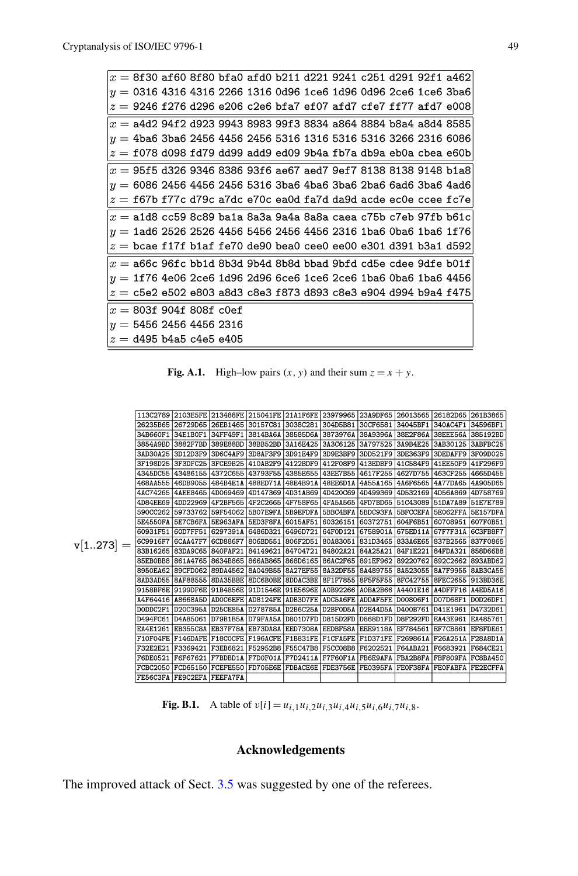<span id="page-22-0"></span>

| $\alpha = 8$ f30 af60 8f80 bfa0 afd0 b211 d221 9241 c251 d291 92f1 a462                |  |  |  |  |  |  |
|----------------------------------------------------------------------------------------|--|--|--|--|--|--|
| $\vert \eta = 0$ 316 4316 4316 2266 1316 0d96 1ce6 1d96 0d96 2ce6 1ce6 3ba6            |  |  |  |  |  |  |
| $ z=$ 9246 f276 d296 e206 c2e6 bfa7 ef07 afd7 cfe7 ff77 afd7 e008 $\,$                 |  |  |  |  |  |  |
| $\alpha =$ a4d2 94f2 d923 9943 8983 99f3 8834 a864 8884 b8a4 a8d4 8585                 |  |  |  |  |  |  |
| $ y=4$ ba6 3ba6 2456 4456 2456 5316 1316 5316 5316 3266 2316 6086                      |  |  |  |  |  |  |
| $ z=$ f078 d098 fd79 dd99 add9 ed09 9b4a fb7a db9a eb0a cbea e60b                      |  |  |  |  |  |  |
| $ x=95$ f5 d326 9346 8386 93f6 ae67 aed7 9ef7 8138 8138 9148 b1a8                      |  |  |  |  |  |  |
| $ y=$ 6086 2456 4456 2456 5316 3ba6 4ba6 3ba6 2ba6 6ad6 3ba6 4ad6                      |  |  |  |  |  |  |
| $ z= {\rm f}$ 67b f77c d79c a7dc e70c ea0d fa7d da9d acde ec0e ccee fc7e $ $           |  |  |  |  |  |  |
| $ x=$ a1d8 cc59 8c89 ba1a 8a3a 9a4a 8a8a caea c75b c7eb 97fb b61c                      |  |  |  |  |  |  |
| $ y=$ 1ad6 2526 2526 4456 5456 2456 4456 2316 1ba6 0ba6 1ba6 1f76                      |  |  |  |  |  |  |
| $\left z\right =$ bcae f17f b1af fe70 de90 bea0 cee0 ee00 e301 d391 b3a1 d592 $\left $ |  |  |  |  |  |  |
| $ x= {\sf a66c}$ 96fc bb1d 8b3d 9b4d 8b8d bbad 9bfd cd5e cdee 9dfe b01f                |  |  |  |  |  |  |
| $ y=$ 1f76 4e06 2ce6 1d96 2d96 6ce6 1ce6 2ce6 1ba6 0ba6 1ba6 4456                      |  |  |  |  |  |  |
| $\left z\right =$ c5e2 e502 e803 a8d3 c8e3 f873 d893 c8e3 e904 d994 b9a4 f475          |  |  |  |  |  |  |
| $\mathrm{d}x=$ 803f 904f 808f c0ef                                                     |  |  |  |  |  |  |
| $\eta=5456$ 2456 4456 2316                                                             |  |  |  |  |  |  |
| $\alpha =$ d495 b4a5 c4e5 e405                                                         |  |  |  |  |  |  |

**Fig. A.1.** High–low pairs  $(x, y)$  and their sum  $z = x + y$ .

|             |                   | 113C2789 2103E5FE 213488FE 215041FE 21A1F6FE 23979965 23A9DF65 26013565 26182D65 261B3865 |                                           |                   |          |                     |                                           |                     |                                                      |                 |
|-------------|-------------------|-------------------------------------------------------------------------------------------|-------------------------------------------|-------------------|----------|---------------------|-------------------------------------------|---------------------|------------------------------------------------------|-----------------|
|             |                   | 26235B65 26729D65 26EB1465 30157C81 3038C281                                              |                                           |                   |          | 304D5B81            | 30CF6581 34045BF1 340AC4F1                |                     |                                                      | 34596BF1        |
|             | 34B660F1          |                                                                                           | 34E1B0F1   34FF49F1   3814BA6A   38585D6A |                   |          | 3873976A   38A9396A |                                           | 38E2F86A   38EEE56A |                                                      | 385192BD        |
|             | 3854A9BD 3882F7BD |                                                                                           | 389E88BD 38BB52BD                         |                   | 3A16E425 |                     |                                           |                     | 3A3C6125 3A797525 3A9B4E25 3AB30125 3ABFBC25         |                 |
|             | 3AD30A25          | 3D12D3F9                                                                                  | 3D6C4AF9                                  | 3D8AF3F9          | 3D91E4F9 | 3D9E3BF9            | 3DD521F9                                  | 3DE363F9 3DEDAFF9   |                                                      | 3F09D025        |
|             |                   | 3F198D25 3F3DFC25 3FCE9B25 410AB2F9 4122BDF9                                              |                                           |                   |          |                     | 412F08F9 413EDBF9 41C584F9 41EE50F9       |                     |                                                      | 41F296F9        |
|             |                   | 4345DC55 43486155 4372C655 43793F55 4385E655                                              |                                           |                   |          |                     |                                           |                     | 43EE7B55 4617F255 4627D755 463CF255 4665D455         |                 |
|             |                   | 468AA555 46DB9055 484B4E1A 488ED71A 48E4B91A                                              |                                           |                   |          | 48EE6D1A 4A55A165   |                                           | 446F656514A77DA65   |                                                      | 4A905D65        |
|             |                   | 4AC74265 4AEE8465 4D069469 4D147369 4D31AB69                                              |                                           |                   |          | 4D420C69 4D499369   |                                           | 4D532169 4D56A869   |                                                      | 4D758769        |
|             |                   | 4D84EE69 4DD22969 4F2BF565 4F2C2665 4F758F65                                              |                                           |                   |          |                     |                                           |                     | 4FA5A565 4FD7BD65 51C43089 51DA7A89 51E7E789         |                 |
|             |                   | 590CC262 59733762                                                                         | 59F54062                                  | 5B07E9FA 5B9EFDFA |          |                     | 5BBC4BFA   5BDC93FA   5BFCCEFA   5E062FFA |                     |                                                      | <b>5E157DFA</b> |
|             |                   | 5E4550FA 5E7CB6FA 5E963AFA 5ED3F8FA 6015AF51                                              |                                           |                   |          | 60326151 60372751   |                                           |                     | 604F6B51 60708951 607F0B51                           |                 |
|             |                   | 60931F51 60D7FF51 6297391A 6486D321 6496D721                                              |                                           |                   |          | 64F0D121 6758901A   |                                           | 675ED11A            | 67F7F31A                                             | 6C3FB8F7        |
| $v[1273] =$ | 6C9916F7 6CAA47F7 |                                                                                           | 6CD886F7 806BD551 806F2D51                |                   |          |                     |                                           |                     | 80A83051 831D3465 833A6E65 837B2565 837F0865         |                 |
|             |                   | 83B16265 83DA9C65 840FAF21 84149621 84704721                                              |                                           |                   |          | 84802A21 84A25A21   |                                           | 84F1E221            | 84FDA321                                             | 858D66B8        |
|             |                   | 85EB0BB8 861A4765 8634B865 866AB865 868D6165                                              |                                           |                   |          |                     |                                           |                     | 86AC2F65   891EF962   89220762   892C2662   893ABD62 |                 |
|             |                   | 8950EA62 89CFD062                                                                         | 89DA4562 8A049B55 8A27EF55                |                   |          |                     |                                           |                     | 8A32DF55 8A489755 8A523055 8A7F9955 8AB3CA55         |                 |
|             |                   | 8AD3AD55 8AF88555 8DA35BBE 8DC6B0BE 8DDAC3BE                                              |                                           |                   |          |                     |                                           |                     | 8F1F7855 8F5F5F55 8FC42755 8FEC2655 913BD36E         |                 |
|             |                   | 9158BF6E 9199DF6E 91B4856E 91D1546E 91E5696E A0B92266 A0BA2B66 A4401E16 A4DFFF16 A4ED5A16 |                                           |                   |          |                     |                                           |                     |                                                      |                 |
|             |                   | A4F64416 A8668A5D                                                                         | ADOC6EFE                                  | AD8124FE ADB3D7FE |          |                     | ADC5A6FE ADDAF5FE D00806F1                |                     | D07D68F1                                             | DOD26DF1        |
|             |                   | DODDC2F1 D20C395A D25CE85A D278785A D2B6C25A                                              |                                           |                   |          |                     | D2BF0D5A D2E44D5A D400B761                |                     | D41E1961 D4732D61                                    |                 |
|             |                   | D494FC61 D4A85061 D79B1B5A D79FAA5A D801D7FD                                              |                                           |                   |          | D815D2FD D868D1FD   |                                           | D8F292FD   EA43E961 |                                                      | EA485761        |
|             | EA4E1261          | EB355C8A EB37F78A EB73DA8A EED7308A                                                       |                                           |                   |          |                     | EEDBF58A EEE9118A EF784561                |                     | EF7CB861                                             | EF8FDE61        |
|             |                   | F10F04FE F146DAFE F18COCFE F196ACFE F1B831FE F1CFA5FE F1D371FE F269861A                   |                                           |                   |          |                     |                                           |                     | F26A251A F28A8D1A                                    |                 |
|             | F32E2E21          | F3369421                                                                                  | F3EB6821 F52952B8 F55C47B8                |                   |          |                     | F5CC08B8 F6202521 F64ABA21                |                     | F6683921                                             | F684CE21        |
|             | F6DE0521          | F6F67621                                                                                  | F7BDBD1A F7D0F01A F7D2411A                |                   |          |                     | <b>F7F60F1A FB6E9AFA FBA2B8FA</b>         |                     | <b>FBF809FA</b>                                      | FC8BA450        |
|             |                   | FCBC2050   FCD65150   FCEFE550   FD705E6E   FDBACE6E   FDE3756E   FE0395FA   FE0F38FA     |                                           |                   |          |                     |                                           |                     | <b>FEOFABFA</b>                                      | <b>FE2ECFFA</b> |
|             |                   | FE56C3FA FE9C2EFA FEEFA7FA                                                                |                                           |                   |          |                     |                                           |                     |                                                      |                 |

**Fig. B.1.** A table of  $v[i] = u_{i,1}u_{i,2}u_{i,3}u_{i,4}u_{i,5}u_{i,6}u_{i,7}u_{i,8}$ .

# **Acknowledgements**

The improved attack of Sect. [3.5](#page-7-0) was suggested by one of the referees.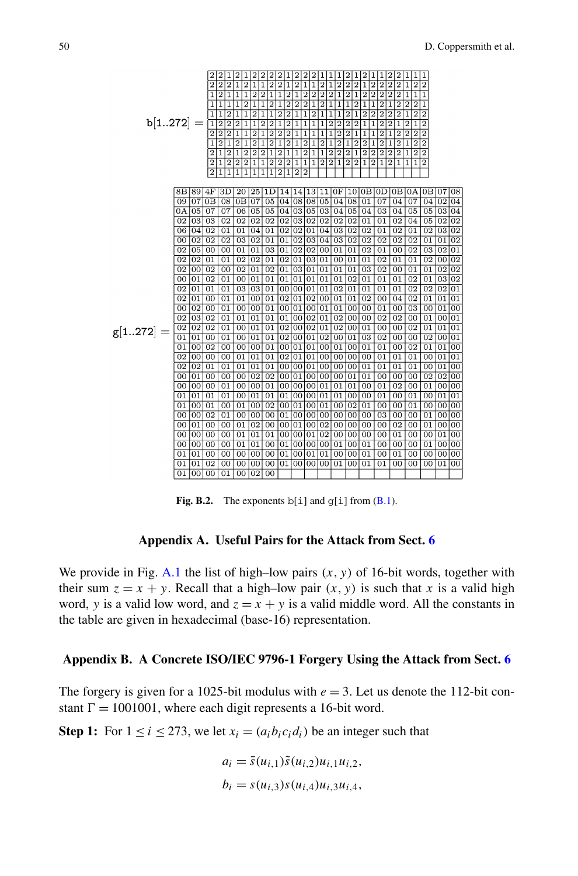<span id="page-23-0"></span>

**Fig. B.2.** The exponents  $b[i]$  and  $g[i]$  from  $(B.1)$ .

# **Appendix A. Useful Pairs for the Attack from Sect. [6](#page-11-0)**

We provide in Fig. [A.1](#page-22-0) the list of high–low pairs  $(x, y)$  of 16-bit words, together with their sum  $z = x + y$ . Recall that a high-low pair  $(x, y)$  is such that x is a valid high word, *y* is a valid low word, and  $z = x + y$  is a valid middle word. All the constants in the table are given in hexadecimal (base-16) representation.

#### **Appendix B. A Concrete ISO/IEC 9796-1 Forgery Using the Attack from Sect. [6](#page-11-0)**

The forgery is given for a 1025-bit modulus with  $e = 3$ . Let us denote the 112-bit constant  $\Gamma = 1001001$ , where each digit represents a 16-bit word.

**Step 1:** For  $1 \le i \le 273$ , we let  $x_i = (a_i b_i c_i d_i)$  be an integer such that

$$
a_i = \bar{s}(u_{i,1})\tilde{s}(u_{i,2})u_{i,1}u_{i,2},
$$
  
\n
$$
b_i = s(u_{i,3})s(u_{i,4})u_{i,3}u_{i,4},
$$